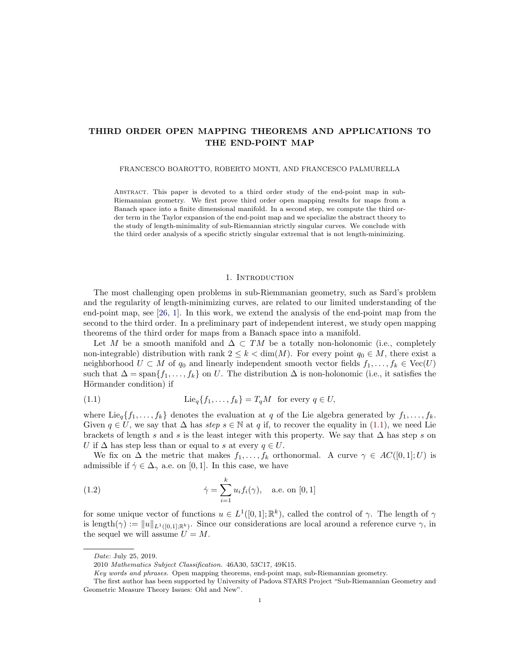# THIRD ORDER OPEN MAPPING THEOREMS AND APPLICATIONS TO THE END-POINT MAP

### FRANCESCO BOAROTTO, ROBERTO MONTI, AND FRANCESCO PALMURELLA

Abstract. This paper is devoted to a third order study of the end-point map in sub-Riemannian geometry. We first prove third order open mapping results for maps from a Banach space into a finite dimensional manifold. In a second step, we compute the third order term in the Taylor expansion of the end-point map and we specialize the abstract theory to the study of length-minimality of sub-Riemannian strictly singular curves. We conclude with the third order analysis of a specific strictly singular extremal that is not length-minimizing.

### 1. INTRODUCTION

The most challenging open problems in sub-Riemmanian geometry, such as Sard's problem and the regularity of length-minimizing curves, are related to our limited understanding of the end-point map, see [\[26,](#page-25-0) [1\]](#page-24-0). In this work, we extend the analysis of the end-point map from the second to the third order. In a preliminary part of independent interest, we study open mapping theorems of the third order for maps from a Banach space into a manifold.

Let M be a smooth manifold and  $\Delta \subset TM$  be a totally non-holonomic (i.e., completely non-integrable) distribution with rank  $2 \leq k < \dim(M)$ . For every point  $q_0 \in M$ , there exist a neighborhood  $U \subset M$  of  $q_0$  and linearly independent smooth vector fields  $f_1, \ldots, f_k \in \text{Vec}(U)$ such that  $\Delta = \text{span}\{f_1, \ldots, f_k\}$  on U. The distribution  $\Delta$  is non-holonomic (i.e., it satisfies the Hörmander condition) if

<span id="page-0-0"></span>(1.1) 
$$
\operatorname{Lie}_q \{f_1, \ldots, f_k\} = T_q M \text{ for every } q \in U,
$$

where  $Lie_q{f_1,\ldots,f_k}$  denotes the evaluation at q of the Lie algebra generated by  $f_1,\ldots,f_k$ . Given  $q \in U$ , we say that  $\Delta$  has step  $s \in \mathbb{N}$  at q if, to recover the equality in [\(1.1\)](#page-0-0), we need Lie brackets of length s and s is the least integer with this property. We say that  $\Delta$  has step s on U if  $\Delta$  has step less than or equal to s at every  $q \in U$ .

We fix on  $\Delta$  the metric that makes  $f_1, \ldots, f_k$  orthonormal. A curve  $\gamma \in AC([0,1];U)$  is admissible if  $\dot{\gamma} \in \Delta_{\gamma}$  a.e. on [0, 1]. In this case, we have

<span id="page-0-1"></span>(1.2) 
$$
\dot{\gamma} = \sum_{i=1}^{k} u_i f_i(\gamma)
$$
, a.e. on [0, 1]

for some unique vector of functions  $u \in L^1([0,1];\mathbb{R}^k)$ , called the control of  $\gamma$ . The length of  $\gamma$ is length $(\gamma) := \|u\|_{L^1([0,1];\mathbb{R}^k)}$ . Since our considerations are local around a reference curve  $\gamma$ , in the sequel we will assume  $U = M$ .

Date: July 25, 2019.

<sup>2010</sup> Mathematics Subject Classification. 46A30, 53C17, 49K15.

Key words and phrases. Open mapping theorems, end-point map, sub-Riemannian geometry.

The first author has been supported by University of Padova STARS Project "Sub-Riemannian Geometry and Geometric Measure Theory Issues: Old and New".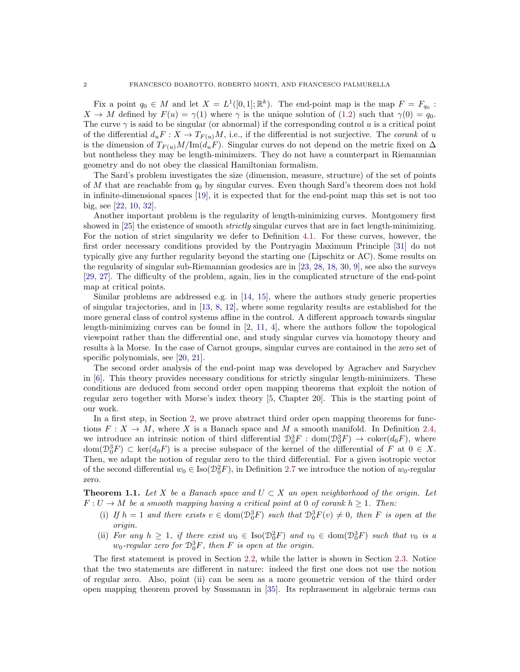Fix a point  $q_0 \in M$  and let  $X = L^1([0,1];\mathbb{R}^k)$ . The end-point map is the map  $F = F_{q_0}$ :  $X \to M$  defined by  $F(u) = \gamma(1)$  where  $\gamma$  is the unique solution of [\(1.2\)](#page-0-1) such that  $\gamma(0) = q_0$ . The curve  $\gamma$  is said to be singular (or abnormal) if the corresponding control u is a critical point of the differential  $d_uF : X \to T_{F(u)}M$ , i.e., if the differential is not surjective. The corank of u is the dimension of  $T_{F(u)}M/\text{Im}(d_uF)$ . Singular curves do not depend on the metric fixed on  $\Delta$ but nontheless they may be length-minimizers. They do not have a counterpart in Riemannian geometry and do not obey the classical Hamiltonian formalism.

The Sard's problem investigates the size (dimension, measure, structure) of the set of points of M that are reachable from  $q_0$  by singular curves. Even though Sard's theorem does not hold in infinite-dimensional spaces [\[19\]](#page-25-1), it is expected that for the end-point map this set is not too big, see [\[22,](#page-25-2) [10,](#page-24-1) [32\]](#page-25-3).

Another important problem is the regularity of length-minimizing curves. Montgomery first showed in [\[25\]](#page-25-4) the existence of smooth *strictly* singular curves that are in fact length-minimizing. For the notion of strict singularity we defer to Definition [4.1.](#page-17-0) For these curves, however, the first order necessary conditions provided by the Pontryagin Maximum Principle [\[31\]](#page-25-5) do not typically give any further regularity beyond the starting one (Lipschitz or AC). Some results on the regularity of singular sub-Riemannian geodesics are in [\[23,](#page-25-6) [28,](#page-25-7) [18,](#page-25-8) [30,](#page-25-9) [9\]](#page-24-2), see also the surveys [\[29,](#page-25-10) [27\]](#page-25-11). The difficulty of the problem, again, lies in the complicated structure of the end-point map at critical points.

Similar problems are addressed e.g. in [\[14,](#page-25-12) [15\]](#page-25-13), where the authors study generic properties of singular trajectories, and in [\[13,](#page-24-3) [8,](#page-24-4) [12\]](#page-24-5), where some regularity results are established for the more general class of control systems affine in the control. A different approach towards singular length-minimizing curves can be found in  $[2, 11, 4]$  $[2, 11, 4]$  $[2, 11, 4]$  $[2, 11, 4]$  $[2, 11, 4]$ , where the authors follow the topological viewpoint rather than the differential one, and study singular curves via homotopy theory and results à la Morse. In the case of Carnot groups, singular curves are contained in the zero set of specific polynomials, see [\[20,](#page-25-14) [21\]](#page-25-15).

The second order analysis of the end-point map was developed by Agrachev and Sarychev in [\[6\]](#page-24-9). This theory provides necessary conditions for strictly singular length-minimizers. These conditions are deduced from second order open mapping theorems that exploit the notion of regular zero together with Morse's index theory [\[5,](#page-24-10) Chapter 20]. This is the starting point of our work.

In a first step, in Section [2,](#page-3-0) we prove abstract third order open mapping theorems for functions  $F: X \to M$ , where X is a Banach space and M a smooth manifold. In Definition [2.4,](#page-4-0) we introduce an intrinsic notion of third differential  $\mathcal{D}_0^3 F$  :  $\text{dom}(\mathcal{D}_0^3 F) \to \text{coker}(d_0F)$ , where  $dom(\mathcal{D}_0^3 F) \subset \text{ker}(d_0 F)$  is a precise subspace of the kernel of the differential of F at  $0 \in X$ . Then, we adapt the notion of regular zero to the third differential. For a given isotropic vector of the second differential  $w_0 \in \text{Iso}(\mathcal{D}_0^2 F)$ , in Definition [2.7](#page-7-0) we introduce the notion of  $w_0$ -regular zero.

<span id="page-1-0"></span>**Theorem 1.1.** Let X be a Banach space and  $U \subset X$  an open neighborhood of the origin. Let  $F: U \to M$  be a smooth mapping having a critical point at 0 of corank  $h \geq 1$ . Then:

- (i) If  $h = 1$  and there exists  $v \in \text{dom}(\mathcal{D}_0^3 F)$  such that  $\mathcal{D}_0^3 F(v) \neq 0$ , then F is open at the origin.
- (ii) For any  $h \geq 1$ , if there exist  $w_0 \in \text{Iso}(\mathcal{D}_0^2 F)$  and  $v_0 \in \text{dom}(\mathcal{D}_0^3 F)$  such that  $v_0$  is a  $w_0$ -regular zero for  $\mathcal{D}_0^3 F$ , then F is open at the origin.

The first statement is proved in Section [2.2,](#page-5-0) while the latter is shown in Section [2.3.](#page-6-0) Notice that the two statements are different in nature: indeed the first one does not use the notion of regular zero. Also, point (ii) can be seen as a more geometric version of the third order open mapping theorem proved by Sussmann in [\[35\]](#page-25-16). Its rephrasement in algebraic terms can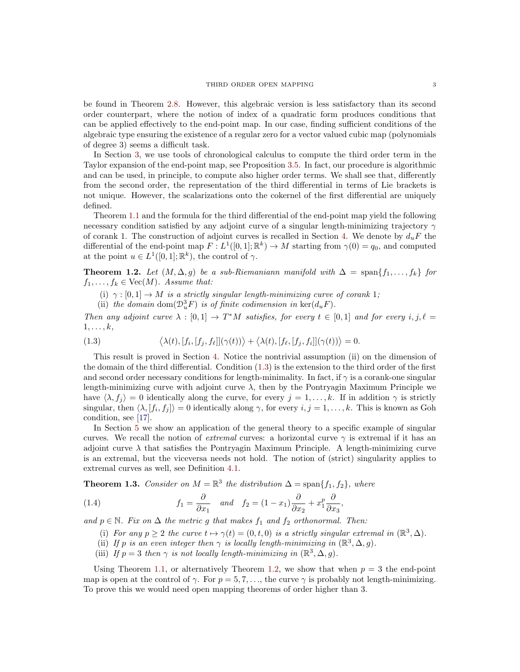be found in Theorem [2.8.](#page-9-0) However, this algebraic version is less satisfactory than its second order counterpart, where the notion of index of a quadratic form produces conditions that can be applied effectively to the end-point map. In our case, finding sufficient conditions of the algebraic type ensuring the existence of a regular zero for a vector valued cubic map (polynomials of degree 3) seems a difficult task.

In Section [3,](#page-10-0) we use tools of chronological calculus to compute the third order term in the Taylor expansion of the end-point map, see Proposition [3.5.](#page-15-0) In fact, our procedure is algorithmic and can be used, in principle, to compute also higher order terms. We shall see that, differently from the second order, the representation of the third differential in terms of Lie brackets is not unique. However, the scalarizations onto the cokernel of the first differential are uniquely defined.

Theorem [1.1](#page-1-0) and the formula for the third differential of the end-point map yield the following necessary condition satisfied by any adjoint curve of a singular length-minimizing trajectory  $\gamma$ of corank 1. The construction of adjoint curves is recalled in Section [4.](#page-17-1) We denote by  $d_uF$  the differential of the end-point map  $F: L^1([0,1];\mathbb{R}^k) \to M$  starting from  $\gamma(0) = q_0$ , and computed at the point  $u \in L^1([0,1];\mathbb{R}^k)$ , the control of  $\gamma$ .

<span id="page-2-1"></span>**Theorem 1.2.** Let  $(M, \Delta, g)$  be a sub-Riemaniann manifold with  $\Delta = \text{span}\{f_1, \ldots, f_k\}$  for  $f_1, \ldots, f_k \in \text{Vec}(M)$ . Assume that:

- (i)  $\gamma : [0, 1] \rightarrow M$  is a strictly singular length-minimizing curve of corank 1;
- (ii) the domain dom $(\mathcal{D}_u^3 F)$  is of finite codimension in  $\ker(d_u F)$ .

Then any adjoint curve  $\lambda : [0,1] \to T^*M$  satisfies, for every  $t \in [0,1]$  and for every  $i, j, \ell =$  $1, \ldots, k$ ,

<span id="page-2-0"></span>(1.3) 
$$
\langle \lambda(t), [f_i, [f_j, f_\ell]](\gamma(t)) \rangle + \langle \lambda(t), [f_\ell, [f_j, f_i]](\gamma(t)) \rangle = 0.
$$

This result is proved in Section [4.](#page-17-1) Notice the nontrivial assumption (ii) on the dimension of the domain of the third differential. Condition [\(1.3\)](#page-2-0) is the extension to the third order of the first and second order necessary conditions for length-minimality. In fact, if  $\gamma$  is a corank-one singular length-minimizing curve with adjoint curve  $\lambda$ , then by the Pontryagin Maximum Principle we have  $\langle \lambda, f_i \rangle = 0$  identically along the curve, for every  $j = 1, \ldots, k$ . If in addition  $\gamma$  is strictly singular, then  $\langle \lambda, [f_i, f_j] \rangle = 0$  identically along  $\gamma$ , for every  $i, j = 1, ..., k$ . This is known as Goh condition, see [\[17\]](#page-25-17).

In Section [5](#page-21-0) we show an application of the general theory to a specific example of singular curves. We recall the notion of *extremal* curves: a horizontal curve  $\gamma$  is extremal if it has an adjoint curve  $\lambda$  that satisfies the Pontryagin Maximum Principle. A length-minimizing curve is an extremal, but the viceversa needs not hold. The notion of (strict) singularity applies to extremal curves as well, see Definition [4.1.](#page-17-0)

<span id="page-2-2"></span>**Theorem 1.3.** Consider on  $M = \mathbb{R}^3$  the distribution  $\Delta = \text{span}\{f_1, f_2\}$ , where

<span id="page-2-3"></span>(1.4) 
$$
f_1 = \frac{\partial}{\partial x_1} \quad and \quad f_2 = (1 - x_1) \frac{\partial}{\partial x_2} + x_1^p \frac{\partial}{\partial x_3},
$$

and  $p \in \mathbb{N}$ . Fix on  $\Delta$  the metric g that makes  $f_1$  and  $f_2$  orthonormal. Then:

- (i) For any  $p \ge 2$  the curve  $t \mapsto \gamma(t) = (0, t, 0)$  is a strictly singular extremal in  $(\mathbb{R}^3, \Delta)$ .
- (ii) If p is an even integer then  $\gamma$  is locally length-minimizing in  $(\mathbb{R}^3, \Delta, g)$ .
- (iii) If  $p = 3$  then  $\gamma$  is not locally length-minimizing in  $(\mathbb{R}^3, \Delta, g)$ .

Using Theorem [1.1,](#page-1-0) or alternatively Theorem [1.2,](#page-2-1) we show that when  $p = 3$  the end-point map is open at the control of  $\gamma$ . For  $p = 5, 7, \ldots$ , the curve  $\gamma$  is probably not length-minimizing. To prove this we would need open mapping theorems of order higher than 3.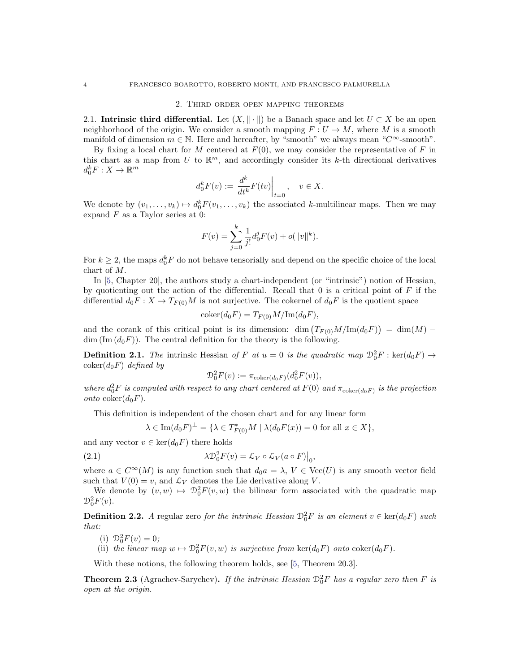### 2. Third order open mapping theorems

<span id="page-3-0"></span>2.1. Intrinsic third differential. Let  $(X, \|\cdot\|)$  be a Banach space and let  $U \subset X$  be an open neighborhood of the origin. We consider a smooth mapping  $F: U \to M$ , where M is a smooth manifold of dimension  $m \in \mathbb{N}$ . Here and hereafter, by "smooth" we always mean "C<sup>∞</sup>-smooth".

By fixing a local chart for M centered at  $F(0)$ , we may consider the representative of F in this chart as a map from U to  $\mathbb{R}^m$ , and accordingly consider its k-th directional derivatives  $d_0^k F: X \to \mathbb{R}^m$ 

$$
d_0^k F(v) := \left. \frac{d^k}{dt^k} F(tv) \right|_{t=0}, \quad v \in X.
$$

We denote by  $(v_1, \ldots, v_k) \mapsto d_0^k F(v_1, \ldots, v_k)$  the associated k-multilinear maps. Then we may expand  $F$  as a Taylor series at 0:

$$
F(v) = \sum_{j=0}^{k} \frac{1}{j!} d_0^{j} F(v) + o(||v||^{k}).
$$

For  $k \geq 2$ , the maps  $d_0^k F$  do not behave tensorially and depend on the specific choice of the local chart of M.

In [\[5,](#page-24-10) Chapter 20], the authors study a chart-independent (or "intrinsic") notion of Hessian, by quotienting out the action of the differential. Recall that  $0$  is a critical point of  $F$  if the differential  $d_0F : X \to T_{F(0)}M$  is not surjective. The cokernel of  $d_0F$  is the quotient space

$$
\operatorname{coker}(d_0 F) = T_{F(0)} M / \operatorname{Im}(d_0 F),
$$

and the corank of this critical point is its dimension:  $\dim (T_{F(0)}M/\mathrm{Im}(d_0F)) = \dim(M) \dim \left( \text{Im} (d_0 F) \right)$ . The central definition for the theory is the following.

**Definition 2.1.** The intrinsic Hessian of F at  $u = 0$  is the quadratic map  $\mathcal{D}_0^2 F$ : ker $(d_0 F) \rightarrow$  $\operatorname{coker}(d_0F)$  defined by

$$
\mathcal{D}_0^2 F(v) := \pi_{\text{coker}(d_0 F)}(d_0^2 F(v)),
$$

where  $d_0^2F$  is computed with respect to any chart centered at  $F(0)$  and  $\pi_{\text{coker}(d_0F)}$  is the projection onto coker $(d_0F)$ .

This definition is independent of the chosen chart and for any linear form

$$
\lambda \in \operatorname{Im} (d_0 F)^{\perp} = \{ \lambda \in T^*_{F(0)}M \mid \lambda (d_0 F(x)) = 0 \text{ for all } x \in X \},
$$

and any vector  $v \in \text{ker}(d_0F)$  there holds

<span id="page-3-1"></span>(2.1) 
$$
\lambda \mathcal{D}_0^2 F(v) = \mathcal{L}_V \circ \mathcal{L}_V (a \circ F)|_0,
$$

where  $a \in C^{\infty}(M)$  is any function such that  $d_0a = \lambda, V \in \text{Vec}(U)$  is any smooth vector field such that  $V(0) = v$ , and  $\mathcal{L}_V$  denotes the Lie derivative along V.

We denote by  $(v, w) \mapsto \mathcal{D}_{0}^{2} F(v, w)$  the bilinear form associated with the quadratic map  $\mathcal{D}_0^2 F(v)$ .

**Definition 2.2.** A regular zero for the intrinsic Hessian  $D_0^2 F$  is an element  $v \in \text{ker}(d_0 F)$  such that:

(i)  $\mathcal{D}_0^2 F(v) = 0;$ 

(ii) the linear map  $w \mapsto D_0^2 F(v, w)$  is surjective from  $\ker(d_0 F)$  onto  $\operatorname{coker}(d_0 F)$ .

With these notions, the following theorem holds, see [\[5,](#page-24-10) Theorem 20.3].

<span id="page-3-2"></span>**Theorem 2.3** (Agrachev-Sarychev). If the intrinsic Hessian  $\mathcal{D}_0^2 F$  has a regular zero then F is open at the origin.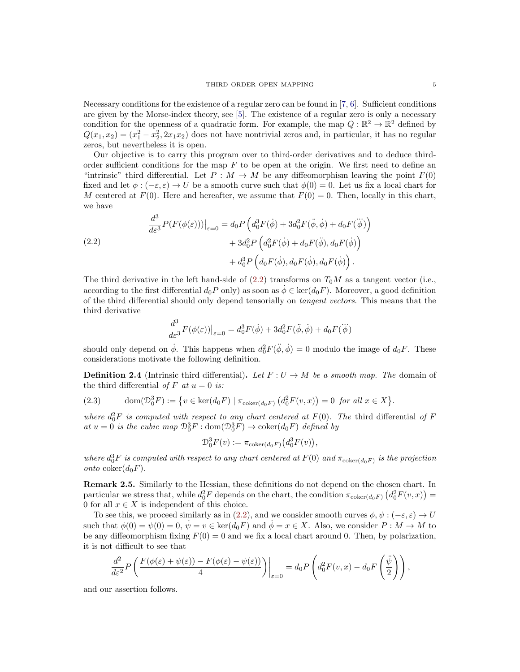Necessary conditions for the existence of a regular zero can be found in [\[7,](#page-24-11) [6\]](#page-24-9). Sufficient conditions are given by the Morse-index theory, see [\[5\]](#page-24-10). The existence of a regular zero is only a necessary condition for the openness of a quadratic form. For example, the map  $Q : \mathbb{R}^2 \to \mathbb{R}^2$  defined by  $Q(x_1, x_2) = (x_1^2 - x_2^2, 2x_1x_2)$  does not have nontrivial zeros and, in particular, it has no regular zeros, but nevertheless it is open.

Our objective is to carry this program over to third-order derivatives and to deduce thirdorder sufficient conditions for the map  $F$  to be open at the origin. We first need to define an "intrinsic" third differential. Let  $P : M \to M$  be any diffeomorphism leaving the point  $F(0)$ fixed and let  $\phi : (-\varepsilon, \varepsilon) \to U$  be a smooth curve such that  $\phi(0) = 0$ . Let us fix a local chart for M centered at  $F(0)$ . Here and hereafter, we assume that  $F(0) = 0$ . Then, locally in this chart, we have

<span id="page-4-1"></span>(2.2)  
\n
$$
\frac{d^3}{d\varepsilon^3} P(F(\phi(\varepsilon)))\big|_{\varepsilon=0} = d_0 P\left(d_0^3 F(\dot{\phi}) + 3d_0^2 F(\ddot{\phi}, \dot{\phi}) + d_0 F(\ddot{\phi})\right) + 3d_0^2 P\left(d_0^2 F(\dot{\phi}) + d_0 F(\ddot{\phi}), d_0 F(\dot{\phi})\right) + d_0^3 P\left(d_0 F(\dot{\phi}), d_0 F(\dot{\phi}), d_0 F(\dot{\phi})\right).
$$

The third derivative in the left hand-side of  $(2.2)$  transforms on  $T_0M$  as a tangent vector (i.e., according to the first differential  $d_0P$  only) as soon as  $\phi \in \text{ker}(d_0F)$ . Moreover, a good definition of the third differential should only depend tensorially on tangent vectors. This means that the third derivative

$$
\frac{d^3}{d\varepsilon^3}F(\phi(\varepsilon))\big|_{\varepsilon=0}=d_0^3F(\dot\phi)+3d_0^2F(\ddot\phi,\dot\phi)+d_0F(\dddot\phi)
$$

should only depend on  $\dot{\phi}$ . This happens when  $d_0^2 F(\ddot{\phi}, \dot{\phi}) = 0$  modulo the image of  $d_0 F$ . These considerations motivate the following definition.

<span id="page-4-0"></span>**Definition 2.4** (Intrinsic third differential). Let  $F: U \to M$  be a smooth map. The domain of the third differential of F at  $u = 0$  is:

<span id="page-4-2"></span>(2.3) 
$$
\text{dom}(\mathcal{D}_0^3 F) := \{ v \in \text{ker}(d_0 F) \mid \pi_{\text{coker}(d_0 F)}(d_0^2 F(v, x)) = 0 \text{ for all } x \in X \}.
$$

where  $d_0^2 F$  is computed with respect to any chart centered at  $F(0)$ . The third differential of F at  $u = 0$  is the cubic map  $\mathcal{D}_0^3 F : \text{dom}(\mathcal{D}_0^3 F) \to \text{coker}(d_0 F)$  defined by

$$
\mathcal{D}_0^3 F(v) := \pi_{\text{coker}(d_0 F)}\big(d_0^3 F(v)\big),
$$

where  $d_0^3F$  is computed with respect to any chart centered at  $F(0)$  and  $\pi_{\text{coker}(d_0F)}$  is the projection onto coker $(d_0F)$ .

Remark 2.5. Similarly to the Hessian, these definitions do not depend on the chosen chart. In particular we stress that, while  $d_0^2 F$  depends on the chart, the condition  $\pi_{\text{coker}(d_0F)}(d_0^2 F(v,x)) =$ 0 for all  $x \in X$  is independent of this choice.

To see this, we proceed similarly as in [\(2.2\)](#page-4-1), and we consider smooth curves  $\phi, \psi : (-\varepsilon, \varepsilon) \to U$ such that  $\phi(0) = \psi(0) = 0$ ,  $\dot{\psi} = v \in \text{ker}(d_0 F)$  and  $\dot{\phi} = x \in X$ . Also, we consider  $P : M \to M$  to be any diffeomorphism fixing  $F(0) = 0$  and we fix a local chart around 0. Then, by polarization, it is not difficult to see that

$$
\frac{d^2}{d\varepsilon^2}P\left(\frac{F(\phi(\varepsilon)+\psi(\varepsilon))-F(\phi(\varepsilon)-\psi(\varepsilon))}{4}\right)\bigg|_{\varepsilon=0} = d_0P\left(d_0^2F(v,x)-d_0F\left(\frac{\ddot{\psi}}{2}\right)\right),
$$

and our assertion follows.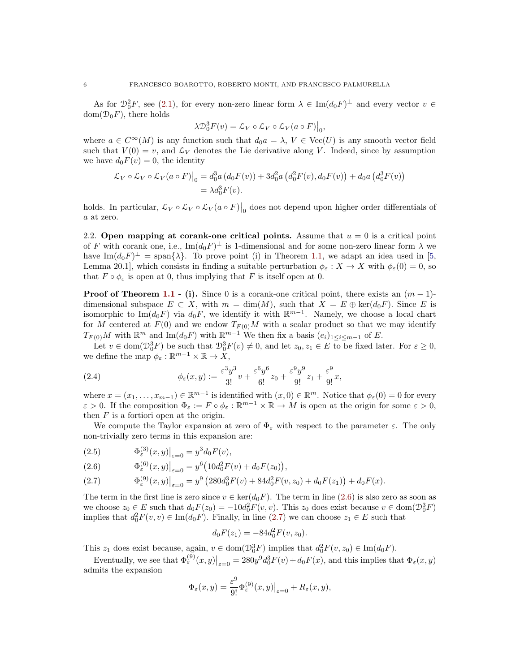As for  $\mathcal{D}_{0}^{2}F$ , see [\(2.1\)](#page-3-1), for every non-zero linear form  $\lambda \in \text{Im}(d_{0}F)^{\perp}$  and every vector  $v \in$  $dom(\mathcal{D}_0F)$ , there holds

$$
\lambda \mathcal{D}_0^3 F(v) = \mathcal{L}_V \circ \mathcal{L}_V \circ \mathcal{L}_V(a \circ F)|_0,
$$

where  $a \in C^{\infty}(M)$  is any function such that  $d_0a = \lambda$ ,  $V \in \text{Vec}(U)$  is any smooth vector field such that  $V(0) = v$ , and  $\mathcal{L}_V$  denotes the Lie derivative along V. Indeed, since by assumption we have  $d_0F(v) = 0$ , the identity

$$
\mathcal{L}_V \circ \mathcal{L}_V \circ \mathcal{L}_V (a \circ F) \Big|_0 = d_0^3 a (d_0 F(v)) + 3 d_0^2 a (d_0^2 F(v), d_0 F(v)) + d_0 a (d_0^3 F(v))
$$
  
=  $\lambda d_0^3 F(v).$ 

holds. In particular,  $\mathcal{L}_V \circ \mathcal{L}_V \circ \mathcal{L}_V (a \circ F) \big|_0$  does not depend upon higher order differentials of a at zero.

<span id="page-5-0"></span>2.2. Open mapping at corank-one critical points. Assume that  $u = 0$  is a critical point of F with corank one, i.e.,  $\text{Im}(d_0F)^{\perp}$  is 1-dimensional and for some non-zero linear form  $\lambda$  we have  $\text{Im}(d_0F)^{\perp} = \text{span}\{\lambda\}.$  To prove point (i) in Theorem [1.1,](#page-1-0) we adapt an idea used in [\[5,](#page-24-10) Lemma 20.1], which consists in finding a suitable perturbation  $\phi_{\varepsilon}: X \to X$  with  $\phi_{\varepsilon}(0) = 0$ , so that  $F \circ \phi_{\varepsilon}$  is open at 0, thus implying that F is itself open at 0.

**Proof of Theorem [1.1](#page-1-0) - (i).** Since 0 is a corank-one critical point, there exists an  $(m-1)$ dimensional subspace  $E \subset X$ , with  $m = \dim(M)$ , such that  $X = E \oplus \ker(d_0F)$ . Since E is isomorphic to Im( $d_0F$ ) via  $d_0F$ , we identify it with  $\mathbb{R}^{m-1}$ . Namely, we choose a local chart for M centered at  $F(0)$  and we endow  $T_{F(0)}M$  with a scalar product so that we may identify  $T_{F(0)}M$  with  $\mathbb{R}^m$  and  $\text{Im}(d_0F)$  with  $\mathbb{R}^{m-1}$  We then fix a basis  $(e_i)_{1\leq i\leq m-1}$  of E.

Let  $v \in \text{dom}(\mathcal{D}_0^3 F)$  be such that  $\mathcal{D}_0^3 F(v) \neq 0$ , and let  $z_0, z_1 \in E$  to be fixed later. For  $\varepsilon \geq 0$ , we define the map  $\phi_{\varepsilon}: \mathbb{R}^{m-1} \times \mathbb{R} \to X$ ,

<span id="page-5-3"></span>(2.4) 
$$
\phi_{\varepsilon}(x,y) := \frac{\varepsilon^3 y^3}{3!} v + \frac{\varepsilon^6 y^6}{6!} z_0 + \frac{\varepsilon^9 y^9}{9!} z_1 + \frac{\varepsilon^9}{9!} x,
$$

where  $x = (x_1, \ldots, x_{m-1}) \in \mathbb{R}^{m-1}$  is identified with  $(x, 0) \in \mathbb{R}^m$ . Notice that  $\phi_{\varepsilon}(0) = 0$  for every  $\varepsilon > 0$ . If the composition  $\Phi_{\varepsilon} := F \circ \phi_{\varepsilon} : \mathbb{R}^{m-1} \times \mathbb{R} \to M$  is open at the origin for some  $\varepsilon > 0$ , then  $F$  is a fortiori open at the origin.

We compute the Taylor expansion at zero of  $\Phi_{\varepsilon}$  with respect to the parameter  $\varepsilon$ . The only non-trivially zero terms in this expansion are:

<span id="page-5-4"></span>(2.5) 
$$
\Phi_{\varepsilon}^{(3)}(x,y)|_{\varepsilon=0} = y^3 d_0 F(v),
$$

<span id="page-5-1"></span>(2.6) 
$$
\Phi_{\varepsilon}^{(6)}(x,y)|_{\varepsilon=0} = y^6 \big(10d_0^2 F(v) + d_0 F(z_0)\big),
$$

<span id="page-5-2"></span>(2.7) 
$$
\Phi_{\varepsilon}^{(9)}(x,y)|_{\varepsilon=0} = y^9 \left(280 d_0^3 F(v) + 84 d_0^2 F(v,z_0) + d_0 F(z_1)\right) + d_0 F(x).
$$

The term in the first line is zero since  $v \in \text{ker}(d_0F)$ . The term in line [\(2.6\)](#page-5-1) is also zero as soon as we choose  $z_0 \in E$  such that  $d_0 F(z_0) = -10d_0^2 F(v, v)$ . This  $z_0$  does exist because  $v \in \text{dom}(\mathcal{D}_0^3 F)$ implies that  $d_0^2 F(v, v) \in \text{Im}(d_0 F)$ . Finally, in line [\(2.7\)](#page-5-2) we can choose  $z_1 \in E$  such that

$$
d_0 F(z_1) = -84 d_0^2 F(v, z_0).
$$

This  $z_1$  does exist because, again,  $v \in \text{dom}(\mathcal{D}_0^3 F)$  implies that  $d_0^2 F(v, z_0) \in \text{Im}(d_0 F)$ .

Eventually, we see that  $\Phi_{\varepsilon}^{(9)}(x,y)|_{\varepsilon=0} = 280y^9d_0^3F(v) + d_0F(x)$ , and this implies that  $\Phi_{\varepsilon}(x,y)$ admits the expansion

$$
\Phi_{\varepsilon}(x,y) = \frac{\varepsilon^9}{9!} \Phi_{\varepsilon}^{(9)}(x,y) \big|_{\varepsilon=0} + R_{\varepsilon}(x,y),
$$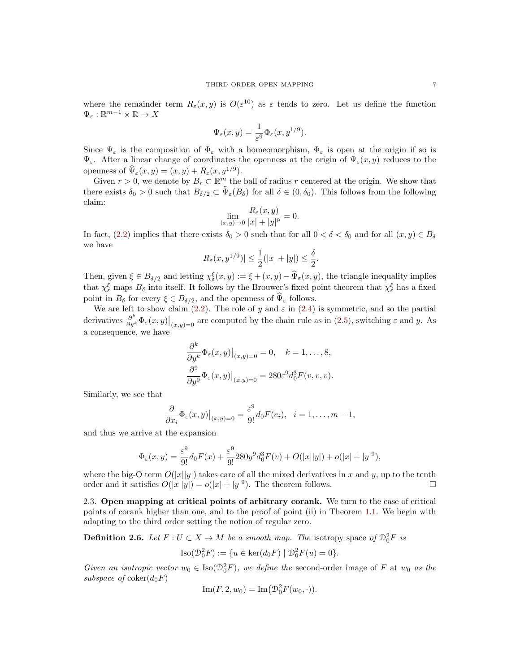where the remainder term  $R_{\varepsilon}(x, y)$  is  $O(\varepsilon^{10})$  as  $\varepsilon$  tends to zero. Let us define the function  $\Psi_{\varepsilon}: \mathbb{R}^{m-1} \times \mathbb{R} \to X$ 

$$
\Psi_{\varepsilon}(x,y) = \frac{1}{\varepsilon^9} \Phi_{\varepsilon}(x, y^{1/9}).
$$

Since  $\Psi_{\varepsilon}$  is the composition of  $\Phi_{\varepsilon}$  with a homeomorphism,  $\Phi_{\varepsilon}$  is open at the origin if so is  $\Psi_{\varepsilon}$ . After a linear change of coordinates the openness at the origin of  $\Psi_{\varepsilon}(x, y)$  reduces to the openness of  $\widehat{\Psi}_{\varepsilon}(x, y) = (x, y) + R_{\varepsilon}(x, y^{1/9}).$ 

Given  $r > 0$ , we denote by  $B_r \subset \mathbb{R}^m$  the ball of radius r centered at the origin. We show that there exists  $\delta_0 > 0$  such that  $B_{\delta/2} \subset \widehat{\Psi}_{\varepsilon}(B_{\delta})$  for all  $\delta \in (0, \delta_0)$ . This follows from the following claim:

$$
\lim_{(x,y)\to 0} \frac{R_{\varepsilon}(x,y)}{|x|+|y|^9} = 0.
$$

In fact, [\(2.2\)](#page-5-2) implies that there exists  $\delta_0 > 0$  such that for all  $0 < \delta < \delta_0$  and for all  $(x, y) \in B_\delta$ we have

$$
|R_{\varepsilon}(x, y^{1/9})| \le \frac{1}{2}(|x| + |y|) \le \frac{\delta}{2}
$$

.

Then, given  $\xi \in B_{\delta/2}$  and letting  $\chi_{\varepsilon}^{\xi}(x, y) := \xi + (x, y) - \widehat{\Psi}_{\varepsilon}(x, y)$ , the triangle inequality implies that  $\chi_{\varepsilon}^{\xi}$  maps  $B_{\delta}$  into itself. It follows by the Brouwer's fixed point theorem that  $\chi_{\varepsilon}^{\xi}$  has a fixed point in  $B_\delta$  for every  $\xi \in B_{\delta/2}$ , and the openness of  $\widehat{\Psi}_{\varepsilon}$  follows.

We are left to show claim [\(2.2\)](#page-5-2). The role of y and  $\varepsilon$  in [\(2.4\)](#page-5-3) is symmetric, and so the partial derivatives  $\frac{\partial^k}{\partial y^k} \Phi_{\varepsilon}(x, y)\big|_{(x, y)=0}$  are computed by the chain rule as in [\(2.5\)](#page-5-4), switching  $\varepsilon$  and y. As a consequence, we have

$$
\frac{\partial^k}{\partial y^k} \Phi_{\varepsilon}(x, y)\big|_{(x, y) = 0} = 0, \quad k = 1, \dots, 8,
$$
  

$$
\frac{\partial^9}{\partial y^9} \Phi_{\varepsilon}(x, y)\big|_{(x, y) = 0} = 280\varepsilon^9 d_0^3 F(v, v, v).
$$

Similarly, we see that

$$
\frac{\partial}{\partial x_i} \Phi_{\varepsilon}(x, y)\big|_{(x, y) = 0} = \frac{\varepsilon^9}{9!} d_0 F(e_i), \quad i = 1, \dots, m-1,
$$

and thus we arrive at the expansion

$$
\Phi_{\varepsilon}(x,y) = \frac{\varepsilon^9}{9!}d_0F(x) + \frac{\varepsilon^9}{9!}280y^9d_0^3F(v) + O(|x||y|) + o(|x|+|y|^9),
$$

where the big-O term  $O(|x||y|)$  takes care of all the mixed derivatives in x and y, up to the tenth order and it satisfies  $O(|x||y|) = o(|x| + |y|^9)$ . The theorem follows.

<span id="page-6-0"></span>2.3. Open mapping at critical points of arbitrary corank. We turn to the case of critical points of corank higher than one, and to the proof of point (ii) in Theorem [1.1.](#page-1-0) We begin with adapting to the third order setting the notion of regular zero.

**Definition 2.6.** Let  $F: U \subset X \to M$  be a smooth map. The isotropy space of  $\mathcal{D}_0^2 F$  is

$$
Iso(\mathcal{D}_0^2 F) := \{ u \in \ker(d_0 F) \mid \mathcal{D}_0^2 F(u) = 0 \}.
$$

Given an isotropic vector  $w_0 \in \text{Iso}(\mathcal{D}_0^2 F)$ , we define the second-order image of F at  $w_0$  as the subspace of  $\mathrm{coker}(d_0F)$ 

$$
\operatorname{Im}(F,2,w_0)=\operatorname{Im}(\mathfrak{D}_0^2F(w_0,\cdot)).
$$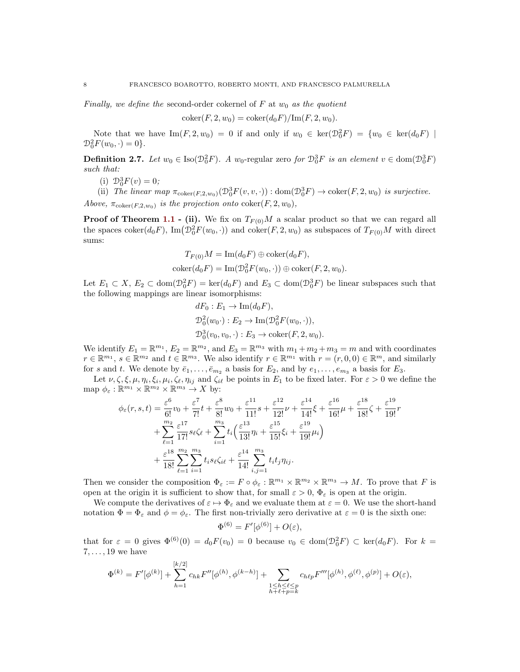Finally, we define the second-order cokernel of F at  $w_0$  as the quotient

$$
coker(F, 2, w_0) = coker(d_0F)/Im(F, 2, w_0).
$$

Note that we have  $\text{Im}(F, 2, w_0) = 0$  if and only if  $w_0 \in \text{ker}(\mathcal{D}_0^2 F) = \{w_0 \in \text{ker}(d_0 F) \mid$  $D_0^2 F(w_0, \cdot) = 0$ .

<span id="page-7-0"></span>**Definition 2.7.** Let  $w_0 \in \text{Iso}(\mathcal{D}_0^2 F)$ . A  $w_0$ -regular zero for  $\mathcal{D}_0^3 F$  is an element  $v \in \text{dom}(\mathcal{D}_0^3 F)$ such that:

(i)  $\mathcal{D}_0^3 F(v) = 0;$ 

(ii) The linear map  $\pi_{\text{coker}(F,2,w_0)}(\mathcal{D}_0^3 F(v,v,\cdot))$ :  $\text{dom}(\mathcal{D}_0^3 F) \to \text{coker}(F,2,w_0)$  is surjective. Above,  $\pi_{\text{coker}(F,2,w_0)}$  is the projection onto  $\text{coker}(F,2,w_0)$ ,

**Proof of Theorem [1.1](#page-1-0) - (ii).** We fix on  $T_{F(0)}M$  a scalar product so that we can regard all the spaces coker $(d_0F)$ ,  $\text{Im}(\mathcal{D}_0^2F(w_0, \cdot))$  and coker $(F, 2, w_0)$  as subspaces of  $T_{F(0)}M$  with direct sums:

$$
T_{F(0)}M = \text{Im}(d_0F) \oplus \text{coker}(d_0F),
$$
  

$$
\text{coker}(d_0F) = \text{Im}(\mathcal{D}_0^2 F(w_0, \cdot)) \oplus \text{coker}(F, 2, w_0).
$$

Let  $E_1 \subset X$ ,  $E_2 \subset \text{dom}(\mathcal{D}_0^2 F) = \text{ker}(d_0 F)$  and  $E_3 \subset \text{dom}(\mathcal{D}_0^3 F)$  be linear subspaces such that the following mappings are linear isomorphisms:

$$
dF_0: E_1 \to \text{Im}(d_0F),
$$
  
\n
$$
\mathcal{D}_0^2(w_0) : E_2 \to \text{Im}(\mathcal{D}_0^2 F(w_0, \cdot)),
$$
  
\n
$$
\mathcal{D}_0^3(v_0, v_0, \cdot) : E_3 \to \text{coker}(F, 2, w_0).
$$

We identify  $E_1 = \mathbb{R}^{m_1}$ ,  $E_2 = \mathbb{R}^{m_2}$ , and  $E_3 = \mathbb{R}^{m_3}$  with  $m_1 + m_2 + m_3 = m$  and with coordinates  $r \in \mathbb{R}^{m_1}, s \in \mathbb{R}^{m_2}$  and  $t \in \mathbb{R}^{m_3}$ . We also identify  $r \in \mathbb{R}^{m_1}$  with  $r = (r, 0, 0) \in \mathbb{R}^m$ , and similarly for s and t. We denote by  $\bar{e}_1, \ldots, \bar{e}_{m_2}$  a basis for  $E_2$ , and by  $e_1, \ldots, e_{m_3}$  a basis for  $E_3$ .

Let  $\nu, \zeta, \xi, \mu, \eta_i, \xi_i, \mu_i, \zeta_\ell, \eta_{ij}$  and  $\zeta_{i\ell}$  be points in  $E_1$  to be fixed later. For  $\varepsilon > 0$  we define the map  $\phi_{\varepsilon}: \mathbb{R}^{m_1} \times \mathbb{R}^{m_2} \times \mathbb{R}^{m_3} \to X$  by:

$$
\phi_{\varepsilon}(r,s,t) = \frac{\varepsilon^6}{6!}v_0 + \frac{\varepsilon^7}{7!}t + \frac{\varepsilon^8}{8!}w_0 + \frac{\varepsilon^{11}}{11!}s + \frac{\varepsilon^{12}}{12!}\nu + \frac{\varepsilon^{14}}{14!}\xi + \frac{\varepsilon^{16}}{16!}\mu + \frac{\varepsilon^{18}}{18!}\zeta + \frac{\varepsilon^{19}}{19!}r + \sum_{\ell=1}^{m_2} \frac{\varepsilon^{17}}{17!} s_{\ell}\zeta_{\ell} + \sum_{i=1}^{m_3} t_i \left(\frac{\varepsilon^{13}}{13!}\eta_i + \frac{\varepsilon^{15}}{15!}\xi_i + \frac{\varepsilon^{19}}{19!}\mu_i\right) + \frac{\varepsilon^{18}}{18!} \sum_{\ell=1}^{m_2} \sum_{i=1}^{m_3} t_i s_{\ell}\zeta_{i\ell} + \frac{\varepsilon^{14}}{14!} \sum_{i,j=1}^{m_3} t_i t_j \eta_{ij}.
$$

Then we consider the composition  $\Phi_{\varepsilon} := F \circ \phi_{\varepsilon} : \mathbb{R}^{m_1} \times \mathbb{R}^{m_2} \times \mathbb{R}^{m_3} \to M$ . To prove that F is open at the origin it is sufficient to show that, for small  $\varepsilon > 0$ ,  $\Phi_{\varepsilon}$  is open at the origin.

We compute the derivatives of  $\varepsilon \mapsto \Phi_{\varepsilon}$  and we evaluate them at  $\varepsilon = 0$ . We use the short-hand notation  $\Phi = \Phi_{\varepsilon}$  and  $\phi = \phi_{\varepsilon}$ . The first non-trivially zero derivative at  $\varepsilon = 0$  is the sixth one:

$$
\Phi^{(6)} = F'[\phi^{(6)}] + O(\varepsilon),
$$

that for  $\varepsilon = 0$  gives  $\Phi^{(6)}(0) = d_0 F(v_0) = 0$  because  $v_0 \in \text{dom}(\mathcal{D}_0^2 F) \subset \text{ker}(d_0 F)$ . For  $k =$  $7, \ldots, 19$  we have

$$
\Phi^{(k)} = F'[\phi^{(k)}] + \sum_{h=1}^{[k/2]} c_{hk} F''[\phi^{(h)}, \phi^{(k-h)}] + \sum_{\substack{1 \le h \le \ell \le p \\ h + \ell + p = k}} c_{h\ell p} F'''[\phi^{(h)}, \phi^{(\ell)}, \phi^{(p)}] + O(\varepsilon),
$$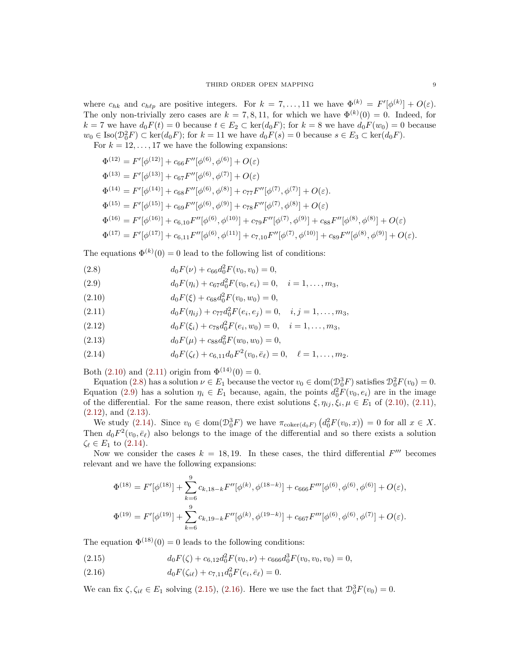where  $c_{hk}$  and  $c_{h\ell p}$  are positive integers. For  $k = 7, \ldots, 11$  we have  $\Phi^{(k)} = F'[\phi^{(k)}] + O(\varepsilon)$ . The only non-trivially zero cases are  $k = 7, 8, 11$ , for which we have  $\Phi^{(k)}(0) = 0$ . Indeed, for k = 7 we have  $d_0F(t) = 0$  because  $t \in E_2 \subset \text{ker}(d_0F)$ ; for  $k = 8$  we have  $d_0F(w_0) = 0$  because  $w_0 \in \text{Iso}(\mathcal{D}_0^2 F) \subset \text{ker}(d_0 F)$ ; for  $k = 11$  we have  $d_0 F(s) = 0$  because  $s \in E_3 \subset \text{ker}(d_0 F)$ .

For  $k = 12, \ldots, 17$  we have the following expansions:

$$
\Phi^{(12)} = F'[\phi^{(12)}] + c_{66}F''[\phi^{(6)}, \phi^{(6)}] + O(\varepsilon)
$$
  
\n
$$
\Phi^{(13)} = F'[\phi^{(13)}] + c_{67}F''[\phi^{(6)}, \phi^{(7)}] + O(\varepsilon)
$$
  
\n
$$
\Phi^{(14)} = F'[\phi^{(14)}] + c_{68}F''[\phi^{(6)}, \phi^{(8)}] + c_{77}F''[\phi^{(7)}, \phi^{(7)}] + O(\varepsilon).
$$
  
\n
$$
\Phi^{(15)} = F'[\phi^{(15)}] + c_{69}F''[\phi^{(6)}, \phi^{(9)}] + c_{78}F''[\phi^{(7)}, \phi^{(8)}] + O(\varepsilon)
$$
  
\n
$$
\Phi^{(16)} = F'[\phi^{(16)}] + c_{6,10}F''[\phi^{(6)}, \phi^{(10)}] + c_{79}F''[\phi^{(7)}, \phi^{(9)}] + c_{88}F''[\phi^{(8)}, \phi^{(8)}] + O(\varepsilon)
$$
  
\n
$$
\Phi^{(17)} = F'[\phi^{(17)}] + c_{6,11}F''[\phi^{(6)}, \phi^{(11)}] + c_{7,10}F''[\phi^{(7)}, \phi^{(10)}] + c_{89}F''[\phi^{(8)}, \phi^{(9)}] + O(\varepsilon).
$$

The equations  $\Phi^{(k)}(0) = 0$  lead to the following list of conditions:

<span id="page-8-2"></span>(2.8)  $d_0F(\nu) + c_{66}d_0^2F(v_0, v_0) = 0,$ 

<span id="page-8-3"></span>(2.9) 
$$
d_0 F(\eta_i) + c_{67} d_0^2 F(v_0, e_i) = 0, \quad i = 1, ..., m_3,
$$

<span id="page-8-0"></span>(2.10)  $d_0F(\xi) + c_{68}d_0^2F(v_0, w_0) = 0,$ 

<span id="page-8-1"></span>(2.11) 
$$
d_0 F(\eta_{ij}) + c_{77} d_0^2 F(e_i, e_j) = 0, \quad i, j = 1, ..., m_3,
$$

<span id="page-8-4"></span>(2.12) 
$$
d_0 F(\xi_i) + c_{78} d_0^2 F(e_i, w_0) = 0, \quad i = 1, ..., m_3,
$$

<span id="page-8-5"></span>(2.13) 
$$
d_0 F(\mu) + c_{88} d_0^2 F(w_0, w_0) = 0,
$$

<span id="page-8-6"></span>(2.14) 
$$
d_0 F(\zeta_{\ell}) + c_{6,11} d_0 F^2(v_0, \bar{e}_{\ell}) = 0, \quad \ell = 1, ..., m_2.
$$

Both [\(2.10\)](#page-8-0) and [\(2.11\)](#page-8-1) origin from  $\Phi^{(14)}(0) = 0$ .

Equation [\(2.8\)](#page-8-2) has a solution  $\nu \in E_1$  because the vector  $v_0 \in \text{dom}(\mathcal{D}_0^3 F)$  satisfies  $\mathcal{D}_0^2 F(v_0) = 0$ . Equation [\(2.9\)](#page-8-3) has a solution  $\eta_i \in E_1$  because, again, the points  $d_0^2 F(v_0, e_i)$  are in the image of the differential. For the same reason, there exist solutions  $\xi, \eta_{ij}, \xi_i, \mu \in E_1$  of [\(2.10\)](#page-8-0), [\(2.11\)](#page-8-1),  $(2.12)$ , and  $(2.13)$ .

We study [\(2.14\)](#page-8-6). Since  $v_0 \in \text{dom}(\mathcal{D}_0^3 F)$  we have  $\pi_{\text{coker}(d_0 F)}(d_0^2 F(v_0,x)) = 0$  for all  $x \in X$ . Then  $d_0F^2(v_0, \bar{e}_\ell)$  also belongs to the image of the differential and so there exists a solution  $\zeta_{\ell} \in E_1$  to  $(2.14)$ .

Now we consider the cases  $k = 18, 19$ . In these cases, the third differential  $F'''$  becomes relevant and we have the following expansions:

$$
\Phi^{(18)} = F'[\phi^{(18)}] + \sum_{k=6}^{9} c_{k,18-k} F''[\phi^{(k)}, \phi^{(18-k)}] + c_{666} F'''[\phi^{(6)}, \phi^{(6)}, \phi^{(6)}] + O(\varepsilon),
$$
  

$$
\Phi^{(19)} = F'[\phi^{(19)}] + \sum_{k=6}^{9} c_{k,19-k} F''[\phi^{(k)}, \phi^{(19-k)}] + c_{667} F'''[\phi^{(6)}, \phi^{(6)}, \phi^{(7)}] + O(\varepsilon).
$$

The equation  $\Phi^{(18)}(0) = 0$  leads to the following conditions:

<span id="page-8-7"></span>(2.15)  $d_0F(\zeta) + c_{6,12}d_0^2F(v_0,\nu) + c_{666}d_0^3F(v_0,v_0,v_0) = 0,$ 

<span id="page-8-8"></span>(2.16) 
$$
d_0 F(\zeta_{i\ell}) + c_{7,11} d_0^2 F(e_i, \bar{e}_{\ell}) = 0.
$$

We can fix  $\zeta, \zeta_{i\ell} \in E_1$  solving [\(2.15\)](#page-8-7), [\(2.16\)](#page-8-8). Here we use the fact that  $\mathcal{D}_0^3 F(v_0) = 0$ .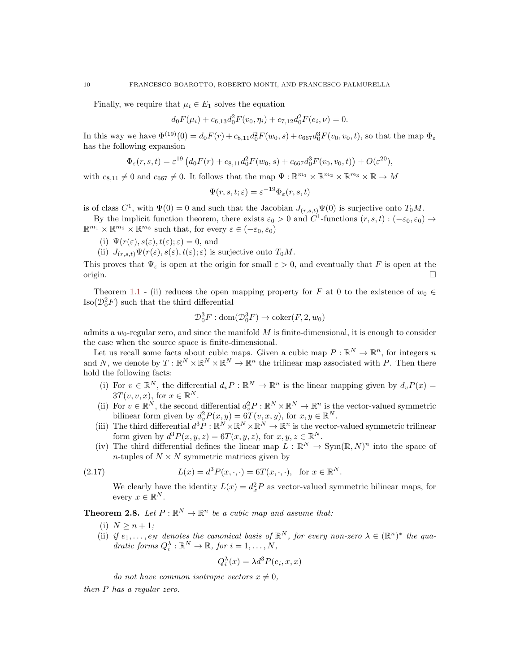Finally, we require that  $\mu_i \in E_1$  solves the equation

$$
d_0F(\mu_i) + c_{6,13}d_0^2F(v_0, \eta_i) + c_{7,12}d_0^2F(e_i, \nu) = 0.
$$

In this way we have  $\Phi^{(19)}(0) = d_0 F(r) + c_{8,11} d_0^2 F(w_0, s) + c_{667} d_0^3 F(v_0, v_0, t)$ , so that the map  $\Phi_{\varepsilon}$ has the following expansion

$$
\Phi_{\varepsilon}(r,s,t) = \varepsilon^{19} \left( d_0 F(r) + c_{8,11} d_0^2 F(w_0,s) + c_{667} d_0^3 F(v_0,v_0,t) \right) + O(\varepsilon^{20}),
$$

with  $c_{8,11} \neq 0$  and  $c_{667} \neq 0$ . It follows that the map  $\Psi : \mathbb{R}^{m_1} \times \mathbb{R}^{m_2} \times \mathbb{R}^{m_3} \times \mathbb{R} \to M$ 

$$
\Psi(r,s,t;\varepsilon)=\varepsilon^{-19}\Phi_{\varepsilon}(r,s,t)
$$

is of class  $C^1$ , with  $\Psi(0) = 0$  and such that the Jacobian  $J_{(r,s,t)}\Psi(0)$  is surjective onto  $T_0M$ .

By the implicit function theorem, there exists  $\varepsilon_0 > 0$  and  $C^1$ -functions  $(r, s, t) : (-\varepsilon_0, \varepsilon_0) \to$  $\mathbb{R}^{m_1} \times \mathbb{R}^{m_2} \times \mathbb{R}^{m_3}$  such that, for every  $\varepsilon \in (-\varepsilon_0, \varepsilon_0)$ 

- (i)  $\Psi(r(\varepsilon), s(\varepsilon), t(\varepsilon); \varepsilon) = 0$ , and
- (ii)  $J_{(r,s,t)}\Psi(r(\varepsilon),s(\varepsilon),t(\varepsilon);\varepsilon)$  is surjective onto  $T_0M$ .

This proves that  $\Psi_{\varepsilon}$  is open at the origin for small  $\varepsilon > 0$ , and eventually that F is open at the origin.

Theorem [1.1](#page-1-0) - (ii) reduces the open mapping property for F at 0 to the existence of  $w_0 \in$  $\text{Iso}(\mathcal{D}_0^2 F)$  such that the third differential

$$
\mathcal{D}_0^3 F : \text{dom}(\mathcal{D}_0^3 F) \to \text{coker}(F, 2, w_0)
$$

admits a  $w_0$ -regular zero, and since the manifold M is finite-dimensional, it is enough to consider the case when the source space is finite-dimensional.

Let us recall some facts about cubic maps. Given a cubic map  $P : \mathbb{R}^N \to \mathbb{R}^n$ , for integers n and N, we denote by  $T: \mathbb{R}^N \times \mathbb{R}^N \to \mathbb{R}^n$  the trilinear map associated with P. Then there hold the following facts:

- (i) For  $v \in \mathbb{R}^N$ , the differential  $d_v P : \mathbb{R}^N \to \mathbb{R}^n$  is the linear mapping given by  $d_v P(x) =$  $3T(v, v, x)$ , for  $x \in \mathbb{R}^N$ .
- (ii) For  $v \in \mathbb{R}^N$ , the second differential  $d_v^2 P : \mathbb{R}^N \times \mathbb{R}^N \to \mathbb{R}^n$  is the vector-valued symmetric bilinear form given by  $d_v^2 P(x, y) = 6T(v, x, y)$ , for  $x, y \in \mathbb{R}^N$ .
- (iii) The third differential  $d^3P : \mathbb{R}^N \times \mathbb{R}^N \times \mathbb{R}^N \to \mathbb{R}^n$  is the vector-valued symmetric trilinear form given by  $d^3P(x, y, z) = 6T(x, y, z)$ , for  $x, y, z \in \mathbb{R}^N$ .
- (iv) The third differential defines the linear map  $L : \mathbb{R}^N \to \text{Sym}(\mathbb{R}, N)^n$  into the space of n-tuples of  $N \times N$  symmetric matrices given by

<span id="page-9-1"></span>(2.17) 
$$
L(x) = d^{3} P(x, \cdot, \cdot) = 6T(x, \cdot, \cdot), \text{ for } x \in \mathbb{R}^{N}.
$$

We clearly have the identity  $L(x) = d_x^2 P$  as vector-valued symmetric bilinear maps, for every  $x \in \mathbb{R}^N$ .

<span id="page-9-0"></span>**Theorem 2.8.** Let  $P : \mathbb{R}^N \to \mathbb{R}^n$  be a cubic map and assume that:

- (i)  $N > n + 1$ ;
- (ii) if  $e_1, \ldots, e_N$  denotes the canonical basis of  $\mathbb{R}^N$ , for every non-zero  $\lambda \in (\mathbb{R}^n)^*$  the quadratic forms  $Q_i^{\lambda} : \mathbb{R}^N \to \mathbb{R}$ , for  $i = 1, ..., N$ ,

$$
Q_i^{\lambda}(x) = \lambda d^3 P(e_i, x, x)
$$

do not have common isotropic vectors  $x \neq 0$ ,

then P has a regular zero.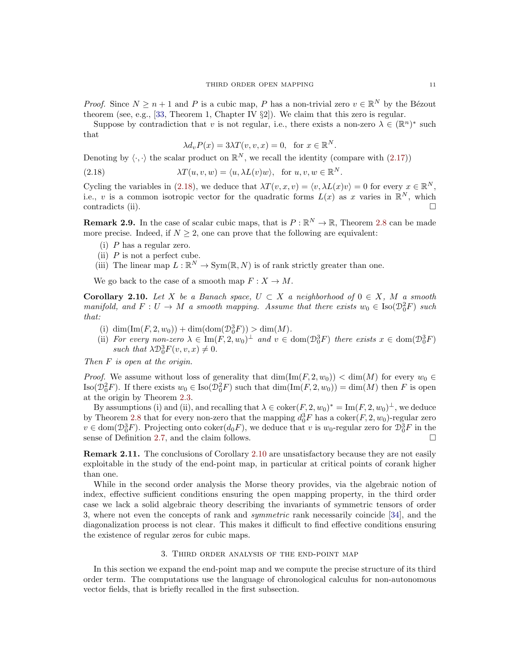*Proof.* Since  $N \geq n+1$  and P is a cubic map, P has a non-trivial zero  $v \in \mathbb{R}^N$  by the Bézout theorem (see, e.g., [\[33,](#page-25-18) Theorem 1, Chapter IV §2]). We claim that this zero is regular.

Suppose by contradiction that v is not regular, i.e., there exists a non-zero  $\lambda \in (\mathbb{R}^n)^*$  such that

$$
\lambda d_v P(x) = 3\lambda T(v, v, x) = 0, \text{ for } x \in \mathbb{R}^N.
$$

Denoting by  $\langle \cdot, \cdot \rangle$  the scalar product on  $\mathbb{R}^N$ , we recall the identity (compare with [\(2.17\)](#page-9-1))

<span id="page-10-1"></span>(2.18) 
$$
\lambda T(u, v, w) = \langle u, \lambda L(v)w \rangle, \text{ for } u, v, w \in \mathbb{R}^N.
$$

Cycling the variables in [\(2.18\)](#page-10-1), we deduce that  $\lambda T(v, x, v) = \langle v, \lambda L(x)v \rangle = 0$  for every  $x \in \mathbb{R}^N$ , i.e., v is a common isotropic vector for the quadratic forms  $L(x)$  as x varies in  $\mathbb{R}^N$ , which  $\Box$  contradicts (ii).

**Remark 2.9.** In the case of scalar cubic maps, that is  $P : \mathbb{R}^N \to \mathbb{R}$ , Theorem [2.8](#page-9-0) can be made more precise. Indeed, if  $N \geq 2$ , one can prove that the following are equivalent:

- (i) P has a regular zero.
- (ii)  $P$  is not a perfect cube.
- (iii) The linear map  $L : \mathbb{R}^N \to \text{Sym}(\mathbb{R}, N)$  is of rank strictly greater than one.

We go back to the case of a smooth map  $F: X \to M$ .

<span id="page-10-2"></span>Corollary 2.10. Let X be a Banach space,  $U \subset X$  a neighborhood of  $0 \in X$ , M a smooth manifold, and  $F: U \to M$  a smooth mapping. Assume that there exists  $w_0 \in \text{Iso}(\mathcal{D}_0^2 F)$  such that:

- (i)  $\dim(\text{Im}(F, 2, w_0)) + \dim(\text{dom}(\mathcal{D}_0^3 F)) > \dim(M)$ .
- (ii) For every non-zero  $\lambda \in \text{Im}(F, 2, w_0)^{\perp}$  and  $v \in \text{dom}(\mathcal{D}_0^3 F)$  there exists  $x \in \text{dom}(\mathcal{D}_0^3 F)$ such that  $\lambda \mathcal{D}_0^3 F(v, v, x) \neq 0$ .

Then F is open at the origin.

*Proof.* We assume without loss of generality that  $\dim(\text{Im}(F, 2, w_0)) < \dim(M)$  for every  $w_0 \in$ Iso( $\mathcal{D}_0^2 F$ ). If there exists  $w_0 \in \text{Iso}(\mathcal{D}_0^2 F)$  such that  $\dim(\text{Im}(F, 2, w_0)) = \dim(M)$  then F is open at the origin by Theorem [2.3.](#page-3-2)

By assumptions (i) and (ii), and recalling that  $\lambda \in \text{coker}(F, 2, w_0)^* = \text{Im}(F, 2, w_0)^{\perp}$ , we deduce by Theorem [2.8](#page-9-0) that for every non-zero that the mapping  $d_0^3 F$  has a coker $(F, 2, w_0)$ -regular zero  $v \in \text{dom}(\mathcal{D}_0^3 F)$ . Projecting onto coker $(d_0 F)$ , we deduce that v is  $w_0$ -regular zero for  $\mathcal{D}_0^3 F$  in the sense of Definition [2.7,](#page-7-0) and the claim follows.

Remark 2.11. The conclusions of Corollary [2.10](#page-10-2) are unsatisfactory because they are not easily exploitable in the study of the end-point map, in particular at critical points of corank higher than one.

While in the second order analysis the Morse theory provides, via the algebraic notion of index, effective sufficient conditions ensuring the open mapping property, in the third order case we lack a solid algebraic theory describing the invariants of symmetric tensors of order 3, where not even the concepts of rank and symmetric rank necessarily coincide [\[34\]](#page-25-19), and the diagonalization process is not clear. This makes it difficult to find effective conditions ensuring the existence of regular zeros for cubic maps.

# 3. Third order analysis of the end-point map

<span id="page-10-0"></span>In this section we expand the end-point map and we compute the precise structure of its third order term. The computations use the language of chronological calculus for non-autonomous vector fields, that is briefly recalled in the first subsection.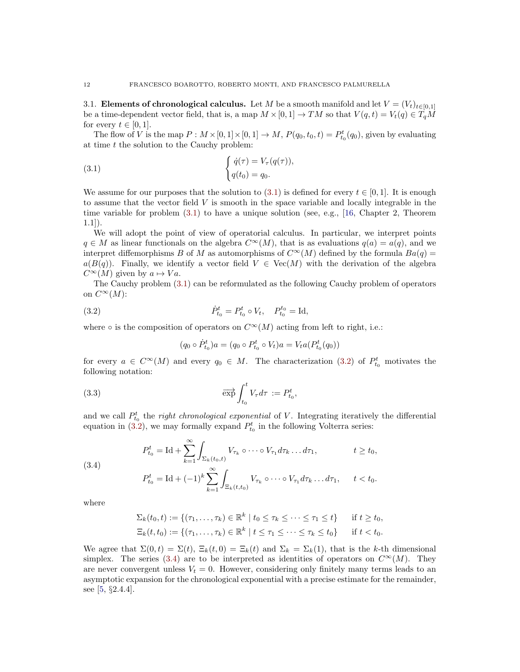<span id="page-11-4"></span>3.1. Elements of chronological calculus. Let M be a smooth manifold and let  $V = (V_t)_{t \in [0,1]}$ be a time-dependent vector field, that is, a map  $M \times [0, 1] \to TM$  so that  $V(q, t) = V_t(q) \in T_qM$ for every  $t \in [0,1]$ .

The flow of V is the map  $P: M \times [0,1] \times [0,1] \to M$ ,  $P(q_0, t_0, t) = P_{t_0}^t(q_0)$ , given by evaluating at time  $t$  the solution to the Cauchy problem:

<span id="page-11-0"></span>(3.1) 
$$
\begin{cases} \dot{q}(\tau) = V_{\tau}(q(\tau)), \\ q(t_0) = q_0. \end{cases}
$$

We assume for our purposes that the solution to  $(3.1)$  is defined for every  $t \in [0,1]$ . It is enough to assume that the vector field  $V$  is smooth in the space variable and locally integrable in the time variable for problem [\(3.1\)](#page-11-0) to have a unique solution (see, e.g., [\[16,](#page-25-20) Chapter 2, Theorem 1.1]).

We will adopt the point of view of operatorial calculus. In particular, we interpret points  $q \in M$  as linear functionals on the algebra  $C^{\infty}(M)$ , that is as evaluations  $q(a) = a(q)$ , and we interpret diffemorphisms B of M as automorphisms of  $C^{\infty}(M)$  defined by the formula  $Ba(q)$  =  $a(B(q))$ . Finally, we identify a vector field  $V \in \text{Vec}(M)$  with the derivation of the algebra  $C^{\infty}(M)$  given by  $a \mapsto Va$ .

The Cauchy problem [\(3.1\)](#page-11-0) can be reformulated as the following Cauchy problem of operators on  $C^{\infty}(M)$ :

<span id="page-11-1"></span>(3.2) 
$$
\dot{P}_{t_0}^t = P_{t_0}^t \circ V_t, \quad P_{t_0}^{t_0} = \text{Id},
$$

where  $\circ$  is the composition of operators on  $C^{\infty}(M)$  acting from left to right, i.e.:

$$
(q_0 \circ \dot{P}_{t_0}^t)a = (q_0 \circ P_{t_0}^t \circ V_t)a = V_t a(P_{t_0}^t(q_0))
$$

for every  $a \in C^{\infty}(M)$  and every  $q_0 \in M$ . The characterization [\(3.2\)](#page-11-1) of  $P_{t_0}^t$  motivates the following notation:

<span id="page-11-3"></span>(3.3) 
$$
\overrightarrow{\exp} \int_{t_0}^t V_\tau d\tau := P_{t_0}^t,
$$

and we call  $P_{t_0}^t$  the *right chronological exponential* of V. Integrating iteratively the differential equation in [\(3.2\)](#page-11-1), we may formally expand  $P_{t_0}^t$  in the following Volterra series:

<span id="page-11-2"></span>(3.4)  

$$
P_{t_0}^t = \text{Id} + \sum_{k=1}^{\infty} \int_{\Sigma_k(t_0, t)} V_{\tau_k} \circ \cdots \circ V_{\tau_1} d\tau_k \dots d\tau_1, \qquad t \ge t_0,
$$

$$
P_{t_0}^t = \text{Id} + (-1)^k \sum_{k=1}^{\infty} \int_{\Xi_k(t, t_0)} V_{\tau_k} \circ \cdots \circ V_{\tau_1} d\tau_k \dots d\tau_1, \qquad t < t_0.
$$

where

$$
\Sigma_k(t_0, t) := \{ (\tau_1, \dots, \tau_k) \in \mathbb{R}^k \mid t_0 \le \tau_k \le \dots \le \tau_1 \le t \} \quad \text{if } t \ge t_0,
$$
  

$$
\Xi_k(t, t_0) := \{ (\tau_1, \dots, \tau_k) \in \mathbb{R}^k \mid t \le \tau_1 \le \dots \le \tau_k \le t_0 \} \quad \text{if } t < t_0.
$$

We agree that  $\Sigma(0,t) = \Sigma(t)$ ,  $\Xi_k(t,0) = \Xi_k(t)$  and  $\Sigma_k = \Sigma_k(1)$ , that is the k-th dimensional simplex. The series [\(3.4\)](#page-11-2) are to be interpreted as identities of operators on  $C^{\infty}(M)$ . They are never convergent unless  $V_t = 0$ . However, considering only finitely many terms leads to an asymptotic expansion for the chronological exponential with a precise estimate for the remainder, see [\[5,](#page-24-10) §2.4.4].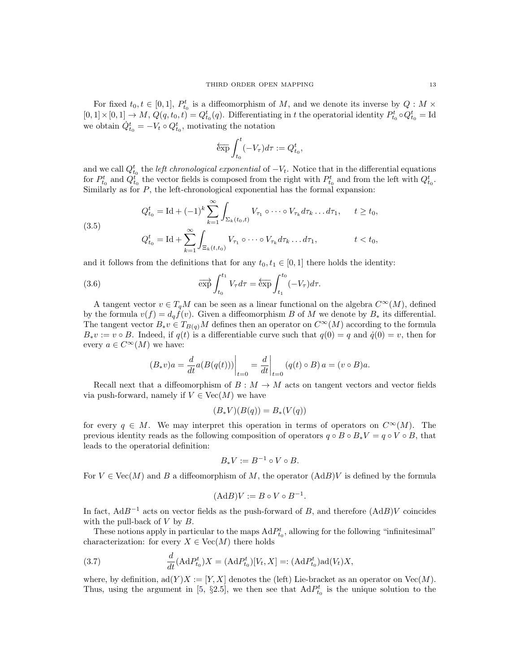For fixed  $t_0, t \in [0,1], P_{t_0}^t$  is a diffeomorphism of M, and we denote its inverse by  $Q: M \times$  $[0,1] \times [0,1] \to M$ ,  $Q(q, t_0, t) = Q_{t_0}^t(q)$ . Differentiating in t the operatorial identity  $P_{t_0}^t \circ Q_{t_0}^t = \text{Id}$ we obtain  $\dot{Q}_{t_0}^t = -V_t \circ Q_{t_0}^t$ , motivating the notation

$$
\overleftarrow{\exp} \int_{t_0}^t (-V_\tau) d\tau := Q_{t_0}^t
$$

,

and we call  $Q_{t_0}^t$  the *left chronological exponential* of  $-V_t$ . Notice that in the differential equations for  $P_{t_0}^t$  and  $Q_{t_0}^t$  the vector fields is composed from the right with  $P_{t_0}^t$  and from the left with  $Q_{t_0}^t$ . Similarly as for P, the left-chronological exponential has the formal expansion:

<span id="page-12-0"></span>(3.5)  
\n
$$
Q_{t_0}^t = \mathrm{Id} + (-1)^k \sum_{k=1}^{\infty} \int_{\Sigma_k(t_0, t)} V_{\tau_1} \circ \cdots \circ V_{\tau_k} d\tau_k \dots d\tau_1, \qquad t \ge t_0,
$$
\n
$$
Q_{t_0}^t = \mathrm{Id} + \sum_{k=1}^{\infty} \int_{\Xi_k(t, t_0)} V_{\tau_1} \circ \cdots \circ V_{\tau_k} d\tau_k \dots d\tau_1, \qquad t < t_0,
$$

and it follows from the definitions that for any  $t_0, t_1 \in [0, 1]$  there holds the identity:

<span id="page-12-1"></span>(3.6) 
$$
\overrightarrow{\exp} \int_{t_0}^{t_1} V_{\tau} d\tau = \overleftarrow{\exp} \int_{t_1}^{t_0} (-V_{\tau}) d\tau.
$$

A tangent vector  $v \in T_qM$  can be seen as a linear functional on the algebra  $C^{\infty}(M)$ , defined by the formula  $v(f) = d_q f(v)$ . Given a diffeomorphism B of M we denote by  $B_*$  its differential. The tangent vector  $B_*v \in T_{B(q)}M$  defines then an operator on  $C^{\infty}(M)$  according to the formula  $B_*v := v \circ B$ . Indeed, if  $q(t)$  is a differentiable curve such that  $q(0) = q$  and  $\dot{q}(0) = v$ , then for every  $a \in C^{\infty}(M)$  we have:

$$
(B_*v)a = \frac{d}{dt}a(B(q(t)))\Big|_{t=0} = \frac{d}{dt}\Big|_{t=0} (q(t) \circ B) a = (v \circ B)a.
$$

Recall next that a diffeomorphism of  $B : M \to M$  acts on tangent vectors and vector fields via push-forward, namely if  $V \in \text{Vec}(M)$  we have

$$
(B_*V)(B(q)) = B_*(V(q))
$$

for every  $q \in M$ . We may interpret this operation in terms of operators on  $C^{\infty}(M)$ . The previous identity reads as the following composition of operators  $q \circ B \circ B_*V = q \circ V \circ B$ , that leads to the operatorial definition:

$$
B_*V := B^{-1} \circ V \circ B.
$$

For  $V \in \text{Vec}(M)$  and B a diffeomorphism of M, the operator  $(AdB)V$  is defined by the formula

$$
(\text{Ad}B)V := B \circ V \circ B^{-1}
$$

.

In fact,  $AdB^{-1}$  acts on vector fields as the push-forward of B, and therefore  $(AdB)V$  coincides with the pull-back of  $V$  by  $B$ .

These notions apply in particular to the maps  $AdP_{t_0}^t$ , allowing for the following "infinitesimal" characterization: for every  $X \in \text{Vec}(M)$  there holds

<span id="page-12-2"></span>(3.7) 
$$
\frac{d}{dt}(\text{Ad}P_{t_0}^t)X = (\text{Ad}P_{t_0}^t)[V_t, X] =: (\text{Ad}P_{t_0}^t)\text{ad}(V_t)X,
$$

where, by definition,  $ad(Y)X := [Y, X]$  denotes the (left) Lie-bracket as an operator on  $Vec(M)$ . Thus, using the argument in [\[5,](#page-24-10)  $\S2.5$ ], we then see that  $AdP_{t_0}^t$  is the unique solution to the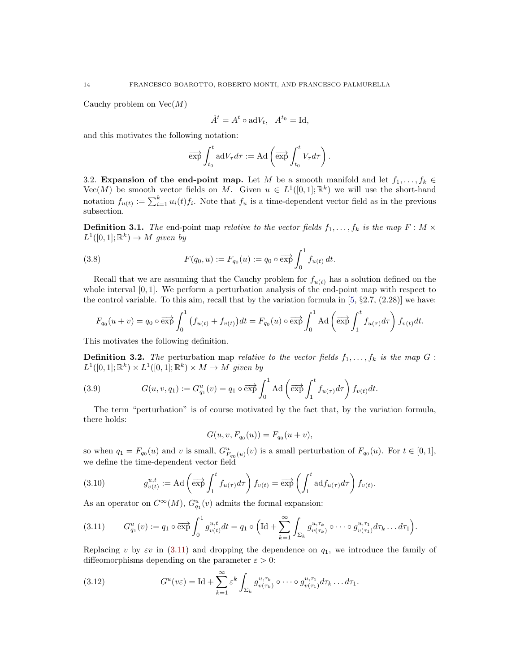Cauchy problem on  $Vec(M)$ 

$$
\dot{A}^t = A^t \circ \text{ad} V_t, \ \ A^{t_0} = \text{Id},
$$

and this motivates the following notation:

$$
\overrightarrow{\exp} \int_{t_0}^t \mathrm{ad} V_\tau d\tau := \mathrm{Ad} \left( \overrightarrow{\exp} \int_{t_0}^t V_\tau d\tau \right).
$$

3.2. Expansion of the end-point map. Let M be a smooth manifold and let  $f_1, \ldots, f_k \in$ Vec(M) be smooth vector fields on M. Given  $u \in L^1([0,1];\mathbb{R}^k)$  we will use the short-hand notation  $f_{u(t)} := \sum_{i=1}^{k} u_i(t) f_i$ . Note that  $f_u$  is a time-dependent vector field as in the previous subsection.

**Definition 3.1.** The end-point map relative to the vector fields  $f_1, \ldots, f_k$  is the map  $F : M \times$  $L^1([0,1];\mathbb{R}^k) \to M$  given by

<span id="page-13-4"></span>(3.8) 
$$
F(q_0, u) := F_{q_0}(u) := q_0 \circ \overrightarrow{\exp} \int_0^1 f_{u(t)} dt.
$$

Recall that we are assuming that the Cauchy problem for  $f_{u(t)}$  has a solution defined on the whole interval  $[0, 1]$ . We perform a perturbation analysis of the end-point map with respect to the control variable. To this aim, recall that by the variation formula in  $[5, \, \& 2.7, \, (2.28)]$  $[5, \, \& 2.7, \, (2.28)]$  we have:

$$
F_{q_0}(u+v) = q_0 \circ \overrightarrow{\exp} \int_0^1 \left( f_{u(t)} + f_{v(t)} \right) dt = F_{q_0}(u) \circ \overrightarrow{\exp} \int_0^1 \mathrm{Ad} \left( \overrightarrow{\exp} \int_1^t f_{u(\tau)} d\tau \right) f_{v(t)} dt.
$$

This motivates the following definition.

**Definition 3.2.** The perturbation map relative to the vector fields  $f_1, \ldots, f_k$  is the map G :  $L^1([0,1];\mathbb{R}^k)\times L^1([0,1];\mathbb{R}^k)\times M\to M$  given by

<span id="page-13-2"></span>(3.9) 
$$
G(u, v, q_1) := G_{q_1}^u(v) = q_1 \circ \overrightarrow{\exp} \int_0^1 \mathrm{Ad} \left( \overrightarrow{\exp} \int_1^t f_{u(\tau)} d\tau \right) f_{v(t)} dt.
$$

The term "perturbation" is of course motivated by the fact that, by the variation formula, there holds:

$$
G(u, v, F_{q_0}(u)) = F_{q_0}(u + v),
$$

so when  $q_1 = F_{q_0}(u)$  and v is small,  $G_{F_{q_0}(u)}^u(v)$  is a small perturbation of  $F_{q_0}(u)$ . For  $t \in [0,1]$ , we define the time-dependent vector field

<span id="page-13-3"></span>(3.10) 
$$
g_{v(t)}^{u,t} := \mathrm{Ad}\left(\overrightarrow{\exp} \int_1^t f_{u(\tau)} d\tau\right) f_{v(t)} = \overrightarrow{\exp}\left(\int_1^t \mathrm{ad} f_{u(\tau)} d\tau\right) f_{v(t)}.
$$

As an operator on  $C^{\infty}(M)$ ,  $G_{q_1}^u(v)$  admits the formal expansion:

<span id="page-13-0"></span>
$$
(3.11) \tG_{q_1}^u(v) := q_1 \circ \overrightarrow{\exp} \int_0^1 g_{v(t)}^{u,t} dt = q_1 \circ \left( \mathrm{Id} + \sum_{k=1}^{\infty} \int_{\Sigma_k} g_{v(\tau_k)}^{u,\tau_k} \circ \cdots \circ g_{v(\tau_1)}^{u,\tau_1} d\tau_k \cdots d\tau_1 \right).
$$

Replacing v by  $\varepsilon v$  in [\(3.11\)](#page-13-0) and dropping the dependence on  $q_1$ , we introduce the family of diffeomorphisms depending on the parameter  $\varepsilon > 0$ :

<span id="page-13-1"></span>(3.12) 
$$
G^u(v\varepsilon) = \mathrm{Id} + \sum_{k=1}^{\infty} \varepsilon^k \int_{\Sigma_k} g_{v(\tau_k)}^{u,\tau_k} \circ \cdots \circ g_{v(\tau_1)}^{u,\tau_1} d\tau_k \dots d\tau_1.
$$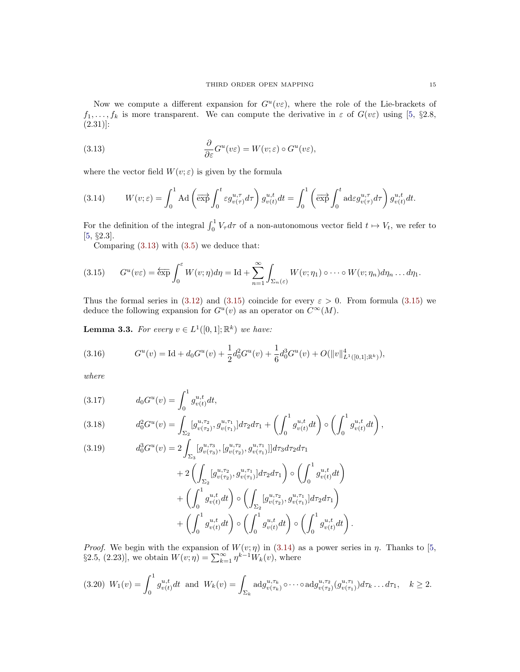Now we compute a different expansion for  $G^u(v\varepsilon)$ , where the role of the Lie-brackets of  $f_1, \ldots, f_k$  is more transparent. We can compute the derivative in  $\varepsilon$  of  $G(v\varepsilon)$  using [\[5,](#page-24-10) §2.8, (2.31)]:

<span id="page-14-0"></span>(3.13) 
$$
\frac{\partial}{\partial \varepsilon} G^u(v\varepsilon) = W(v;\varepsilon) \circ G^u(v\varepsilon),
$$

where the vector field  $W(v; \varepsilon)$  is given by the formula

<span id="page-14-2"></span>(3.14) 
$$
W(v; \varepsilon) = \int_0^1 \mathrm{Ad}\left(\overrightarrow{\exp} \int_0^t \varepsilon g_{v(\tau)}^{u,\tau} d\tau\right) g_{v(t)}^{u,t} dt = \int_0^1 \left(\overrightarrow{\exp} \int_0^t \mathrm{ad}\varepsilon g_{v(\tau)}^{u,\tau} d\tau\right) g_{v(t)}^{u,t} dt.
$$

For the definition of the integral  $\int_0^1 V_\tau d\tau$  of a non-autonomous vector field  $t \mapsto V_t$ , we refer to [\[5,](#page-24-10) §2.3].

Comparing  $(3.13)$  with  $(3.5)$  we deduce that:

<span id="page-14-1"></span>(3.15) 
$$
G^u(v\varepsilon) = \overleftarrow{\exp} \int_0^{\varepsilon} W(v;\eta) d\eta = \mathrm{Id} + \sum_{n=1}^{\infty} \int_{\Sigma_n(\varepsilon)} W(v;\eta_1) \circ \cdots \circ W(v;\eta_n) d\eta_n \dots d\eta_1.
$$

Thus the formal series in [\(3.12\)](#page-13-1) and [\(3.15\)](#page-14-1) coincide for every  $\varepsilon > 0$ . From formula (3.15) we deduce the following expansion for  $G^u(v)$  as an operator on  $C^{\infty}(M)$ .

<span id="page-14-6"></span>**Lemma 3.3.** For every  $v \in L^1([0,1];\mathbb{R}^k)$  we have:

<span id="page-14-7"></span>(3.16) 
$$
G^{u}(v) = \mathrm{Id} + d_{0}G^{u}(v) + \frac{1}{2}d_{0}^{2}G^{u}(v) + \frac{1}{6}d_{0}^{3}G^{u}(v) + O(||v||_{L^{1}([0,1];\mathbb{R}^{k})}^{4}),
$$

where

<span id="page-14-3"></span>(3.17) 
$$
d_0 G^u(v) = \int_0^1 g_{v(t)}^{u,t} dt,
$$
  
(3.18) 
$$
d_0^2 G^u(v) = \int_{\Sigma_2} [g_{v(\tau_2)}^{u,\tau_2}, g_{v(\tau_1)}^{u,\tau_1}] d\tau_2 d\tau_1 + \left(\int_0^1 g_{v(t)}^{u,t} dt\right) \circ \left(\int_0^1 g_{v(t)}^{u,t} dt\right),
$$

<span id="page-14-5"></span><span id="page-14-4"></span>
$$
(3.19) \t d_0^3 G^u(v) = 2 \int_{\Sigma_3} [g_{v(\tau_3)}^{u,\tau_3}, [g_{v(\tau_2)}^{u,\tau_2}, g_{v(\tau_1)}^{u,\tau_1}]] d\tau_3 d\tau_2 d\tau_1 + 2 \left( \int_{\Sigma_2} [g_{v(\tau_2)}^{u,\tau_2}, g_{v(\tau_1)}^{u,\tau_1}] d\tau_2 d\tau_1 \right) \circ \left( \int_0^1 g_{v(t)}^{u,t} dt \right) + \left( \int_0^1 g_{v(t)}^{u,t} dt \right) \circ \left( \int_{\Sigma_2} [g_{v(\tau_2)}^{u,\tau_2}, g_{v(\tau_1)}^{u,\tau_1}] d\tau_2 d\tau_1 \right) + \left( \int_0^1 g_{v(t)}^{u,t} dt \right) \circ \left( \int_0^1 g_{v(t)}^{u,t} dt \right) \circ \left( \int_0^1 g_{v(t)}^{u,t} dt \right).
$$

*Proof.* We begin with the expansion of  $W(v;\eta)$  in [\(3.14\)](#page-14-2) as a power series in  $\eta$ . Thanks to [\[5,](#page-24-10) §2.5, (2.23)], we obtain  $W(v;\eta) = \sum_{k=1}^{\infty} \eta^{k-1} W_k(v)$ , where

<span id="page-14-8"></span>
$$
(3.20) \ W_1(v) = \int_0^1 g_{v(t)}^{u,t} dt \text{ and } W_k(v) = \int_{\Sigma_k} \mathrm{ad} g_{v(\tau_k)}^{u,\tau_k} \circ \cdots \circ \mathrm{ad} g_{v(\tau_2)}^{u,\tau_2} (g_{v(\tau_1)}^{u,\tau_1}) d\tau_k \dots d\tau_1, \quad k \ge 2.
$$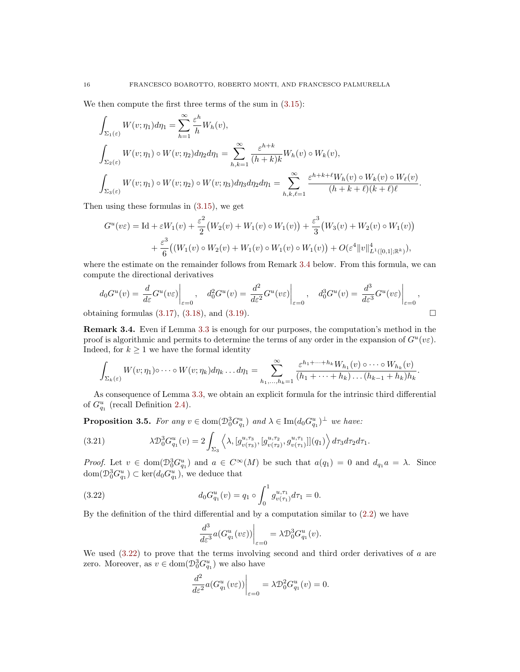We then compute the first three terms of the sum in  $(3.15)$ :

$$
\int_{\Sigma_1(\varepsilon)} W(v;\eta_1) d\eta_1 = \sum_{h=1}^{\infty} \frac{\varepsilon^h}{h} W_h(v),
$$
\n
$$
\int_{\Sigma_2(\varepsilon)} W(v;\eta_1) \circ W(v;\eta_2) d\eta_2 d\eta_1 = \sum_{h,k=1}^{\infty} \frac{\varepsilon^{h+k}}{(h+k)k} W_h(v) \circ W_k(v),
$$
\n
$$
\int_{\Sigma_3(\varepsilon)} W(v;\eta_1) \circ W(v;\eta_2) \circ W(v;\eta_3) d\eta_3 d\eta_2 d\eta_1 = \sum_{h,k,\ell=1}^{\infty} \frac{\varepsilon^{h+k+\ell} W_h(v) \circ W_k(v) \circ W_\ell(v)}{(h+k+\ell)(k+\ell)\ell}
$$

.

Then using these formulas in [\(3.15\)](#page-14-1), we get

$$
G^{u}(v\varepsilon) = \mathrm{Id} + \varepsilon W_{1}(v) + \frac{\varepsilon^{2}}{2} (W_{2}(v) + W_{1}(v) \circ W_{1}(v)) + \frac{\varepsilon^{3}}{3} (W_{3}(v) + W_{2}(v) \circ W_{1}(v)) + \frac{\varepsilon^{3}}{6} ((W_{1}(v) \circ W_{2}(v) + W_{1}(v) \circ W_{1}(v) \circ W_{1}(v)) + O(\varepsilon^{4} ||v||^{4}_{L^{1}([0,1];\mathbb{R}^{k})}),
$$

where the estimate on the remainder follows from Remark [3.4](#page-15-1) below. From this formula, we can compute the directional derivatives

$$
d_0 G^u(v) = \frac{d}{d\varepsilon} G^u(v\varepsilon) \Big|_{\varepsilon=0}, \quad d_0^2 G^u(v) = \frac{d^2}{d\varepsilon^2} G^u(v\varepsilon) \Big|_{\varepsilon=0}, \quad d_0^3 G^u(v) = \frac{d^3}{d\varepsilon^3} G^u(v\varepsilon) \Big|_{\varepsilon=0},
$$
obtaining formulas (3.17), (3.18), and (3.19).

<span id="page-15-1"></span>Remark 3.4. Even if Lemma [3.3](#page-14-6) is enough for our purposes, the computation's method in the proof is algorithmic and permits to determine the terms of any order in the expansion of  $G^u(v\varepsilon)$ . Indeed, for  $k \geq 1$  we have the formal identity

$$
\int_{\Sigma_k(\varepsilon)} W(v;\eta_1)\circ\cdots\circ W(v;\eta_k)d\eta_k\ldots d\eta_1=\sum_{h_1,\ldots,h_k=1}^{\infty}\frac{\varepsilon^{h_1+\cdots+h_k}W_{h_1}(v)\circ\cdots\circ W_{h_k}(v)}{(h_1+\cdots+h_k)\ldots(h_{k-1}+h_k)h_k}.
$$

As consequence of Lemma [3.3,](#page-14-6) we obtain an explicit formula for the intrinsic third differential of  $G_{q_1}^u$  (recall Definition [2.4\)](#page-4-0).

<span id="page-15-0"></span>**Proposition 3.5.** For any  $v \in \text{dom}(\mathcal{D}_0^3 G_{q_1}^u)$  and  $\lambda \in \text{Im}(d_0 G_{q_1}^u)^\perp$  we have:

<span id="page-15-3"></span>(3.21) 
$$
\lambda \mathcal{D}_0^3 G_{q_1}^u(v) = 2 \int_{\Sigma_3} \left\langle \lambda, [g_{v(\tau_3)}^{u,\tau_3}, [g_{v(\tau_2)}^{u,\tau_2}, g_{v(\tau_1)}^{u,\tau_1}]](q_1) \right\rangle d\tau_3 d\tau_2 d\tau_1.
$$

Proof. Let  $v \in \text{dom}(\mathcal{D}_0^3 G_{q_1}^u)$  and  $a \in C^\infty(M)$  be such that  $a(q_1) = 0$  and  $d_{q_1}a = \lambda$ . Since  $\text{dom}(\mathcal{D}_0^3 G_{q_1}^u) \subset \text{ker}(d_0 G_{q_1}^u)$ , we deduce that

<span id="page-15-2"></span>(3.22) 
$$
d_0 G_{q_1}^u(v) = q_1 \circ \int_0^1 g_{v(\tau_1)}^{u,\tau_1} d\tau_1 = 0.
$$

By the definition of the third differential and by a computation similar to [\(2.2\)](#page-4-1) we have

$$
\left. \frac{d^3}{d\varepsilon^3} a(G_{q_1}^u(v\varepsilon)) \right|_{\varepsilon=0} = \lambda \mathcal{D}_0^3 G_{q_1}^u(v).
$$

We used  $(3.22)$  to prove that the terms involving second and third order derivatives of a are zero. Moreover, as  $v \in \text{dom}(\mathcal{D}_0^3 G_{q_1}^u)$  we also have

$$
\left. \frac{d^2}{d\varepsilon^2} a(G_{q_1}^u(v\varepsilon)) \right|_{\varepsilon=0} = \lambda \mathcal{D}_0^2 G_{q_1}^u(v) = 0.
$$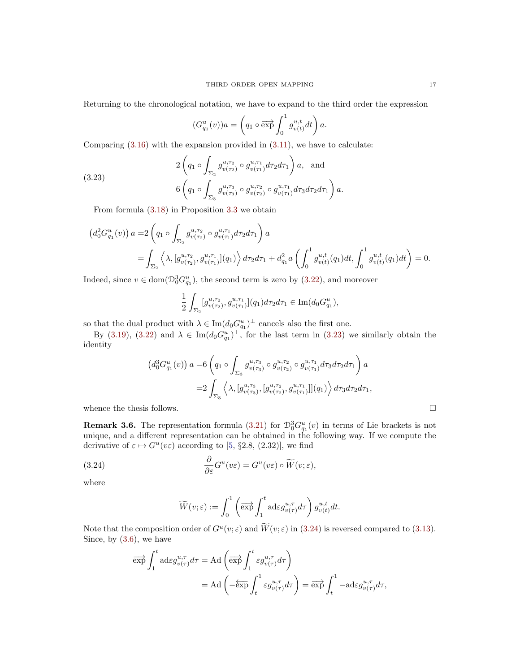Returning to the chronological notation, we have to expand to the third order the expression

$$
(G_{q_1}^u(v))a = \left(q_1 \circ \overrightarrow{\exp} \int_0^1 g_{v(t)}^{u,t} dt\right)a.
$$

Comparing [\(3.16\)](#page-14-7) with the expansion provided in [\(3.11\)](#page-13-0), we have to calculate:

<span id="page-16-0"></span>(3.23) 
$$
2\left(q_1 \circ \int_{\Sigma_2} g_{v(\tau_2)}^{u,\tau_2} \circ g_{v(\tau_1)}^{u,\tau_1} d\tau_2 d\tau_1\right) a, \text{ and}
$$

$$
6\left(q_1 \circ \int_{\Sigma_3} g_{v(\tau_3)}^{u,\tau_3} \circ g_{v(\tau_2)}^{u,\tau_2} \circ g_{v(\tau_1)}^{u,\tau_1} d\tau_3 d\tau_2 d\tau_1\right) a.
$$

From formula [\(3.18\)](#page-14-4) in Proposition [3.3](#page-14-6) we obtain

$$
\begin{split} \left(d_0^2 G_{q_1}^u(v)\right)a &= 2\left(q_1 \circ \int_{\Sigma_2} g_{v(\tau_2)}^{u,\tau_2} \circ g_{v(\tau_1)}^{u,\tau_1} d\tau_2 d\tau_1\right)a \\ &= \int_{\Sigma_2} \left\langle \lambda, [g_{v(\tau_2)}^{u,\tau_2}, g_{v(\tau_1)}^{u,\tau_1}](q_1) \right\rangle d\tau_2 d\tau_1 + d_{q_1}^2 a \left(\int_0^1 g_{v(t)}^{u,t}(q_1) dt, \int_0^1 g_{v(t)}^{u,t}(q_1) dt\right) = 0. \end{split}
$$

Indeed, since  $v \in \text{dom}(\mathcal{D}_0^3 G_{q_1}^u)$ , the second term is zero by  $(3.22)$ , and moreover

$$
\frac{1}{2} \int_{\Sigma_2} [g_{v(\tau_2)}^{u,\tau_2}, g_{v(\tau_1)}^{u,\tau_1}](q_1) d\tau_2 d\tau_1 \in \text{Im}(d_0 G_{q_1}^u),
$$

so that the dual product with  $\lambda \in \text{Im}(d_0 G_{q_1}^u)^{\perp}$  cancels also the first one.

By [\(3.19\)](#page-14-5), [\(3.22\)](#page-15-2) and  $\lambda \in \text{Im}(d_0 G_{q_1}^u)^{\perp}$ , for the last term in [\(3.23\)](#page-16-0) we similarly obtain the identity

$$
\begin{aligned}\n\left(d_0^3 G_{q_1}^u(v)\right) a &= 6 \left(q_1 \circ \int_{\Sigma_3} g_{v(\tau_3)}^{u,\tau_3} \circ g_{v(\tau_2)}^{u,\tau_2} \circ g_{v(\tau_1)}^{u,\tau_1} d\tau_3 d\tau_2 d\tau_1\right) a \\
&= 2 \int_{\Sigma_3} \left\langle \lambda, [g_{v(\tau_3)}^{u,\tau_3}, [g_{v(\tau_2)}^{u,\tau_2}, g_{v(\tau_1)}^{u,\tau_1}]](q_1) \right\rangle d\tau_3 d\tau_2 d\tau_1,\n\end{aligned}
$$

whence the thesis follows.  $\Box$ 

**Remark 3.6.** The representation formula [\(3.21\)](#page-15-3) for  $\mathcal{D}_0^3 G_{q_1}^u(v)$  in terms of Lie brackets is not unique, and a different representation can be obtained in the following way. If we compute the derivative of  $\varepsilon \mapsto G^u(v\varepsilon)$  according to [\[5,](#page-24-10) §2.8, (2.32)], we find

<span id="page-16-1"></span>(3.24) 
$$
\frac{\partial}{\partial \varepsilon} G^u(v\varepsilon) = G^u(v\varepsilon) \circ \widetilde{W}(v;\varepsilon),
$$

where

$$
\widetilde{W}(v;\varepsilon) := \int_0^1 \left( \overrightarrow{\exp} \int_1^t \mathrm{ad}\varepsilon g_{v(\tau)}^{u,\tau} d\tau \right) g_{v(t)}^{u,t} dt.
$$

Note that the composition order of  $G^u(v;\varepsilon)$  and  $\widetilde{W}(v;\varepsilon)$  in [\(3.24\)](#page-16-1) is reversed compared to [\(3.13\)](#page-14-0). Since, by  $(3.6)$ , we have

$$
\overrightarrow{\exp} \int_{1}^{t} \operatorname{ad}\varepsilon g_{v(\tau)}^{u,\tau} d\tau = \operatorname{Ad}\left(\overrightarrow{\exp} \int_{1}^{t} \varepsilon g_{v(\tau)}^{u,\tau} d\tau\right)
$$

$$
= \operatorname{Ad}\left(-\overleftarrow{\exp} \int_{t}^{1} \varepsilon g_{v(\tau)}^{u,\tau} d\tau\right) = \overrightarrow{\exp} \int_{t}^{1} -\operatorname{ad}\varepsilon g_{v(\tau)}^{u,\tau} d\tau,
$$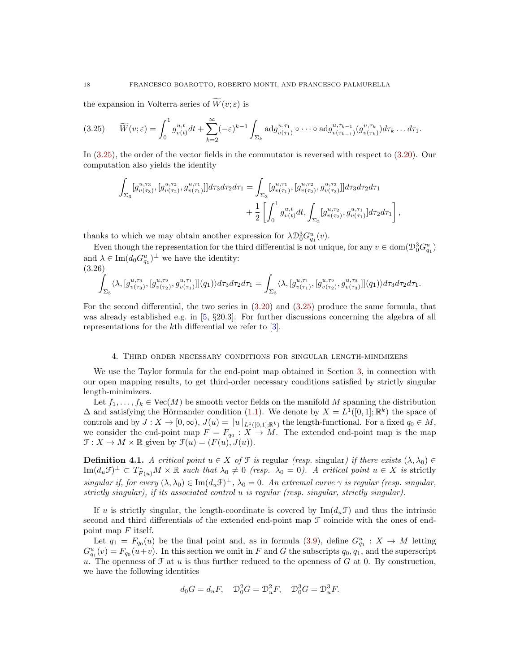the expansion in Volterra series of  $\widetilde{W}(v; \varepsilon)$  is

<span id="page-17-2"></span>
$$
(3.25) \qquad \widetilde{W}(v;\varepsilon) = \int_0^1 g_{v(t)}^{u,t} dt + \sum_{k=2}^\infty (-\varepsilon)^{k-1} \int_{\Sigma_k} \mathrm{ad} g_{v(\tau_1)}^{u,\tau_1} \circ \cdots \circ \mathrm{ad} g_{v(\tau_{k-1})}^{u,\tau_{k-1}} (g_{v(\tau_k)}^{u,\tau_k}) d\tau_k \ldots d\tau_1.
$$

In [\(3.25\)](#page-17-2), the order of the vector fields in the commutator is reversed with respect to [\(3.20\)](#page-14-8). Our computation also yields the identity

$$
\int_{\Sigma_{3}} [g_{v(\tau_{3})}^{u,\tau_{3}}, [g_{v(\tau_{2})}^{u,\tau_{2}}, g_{v(\tau_{1})}^{u,\tau_{1}}]]d\tau_{3}d\tau_{2}d\tau_{1} = \int_{\Sigma_{3}} [g_{v(\tau_{1})}^{u,\tau_{1}}, [g_{v(\tau_{2})}^{u,\tau_{2}}, g_{v(\tau_{3})}^{u,\tau_{3}}]]d\tau_{3}d\tau_{2}d\tau_{1} + \frac{1}{2} \left[ \int_{0}^{1} g_{v(t)}^{u,t} dt, \int_{\Sigma_{2}} [g_{v(\tau_{2})}^{u,\tau_{2}}, g_{v(\tau_{1})}^{u,\tau_{1}}]d\tau_{2}d\tau_{1} \right],
$$

thanks to which we may obtain another expression for  $\lambda \mathcal{D}_0^3 G_{q_1}^u(v)$ .

<span id="page-17-3"></span>Even though the representation for the third differential is not unique, for any  $v \in \text{dom}(\mathcal{D}_0^3 G_{q_1}^u)$ and  $\lambda \in \mathrm{Im}(d_0 G_{q_1}^u)^{\perp}$  we have the identity: (3.26)

$$
\int_{\Sigma_3} \langle \lambda, [g_{v(\tau_3)}^{u,\tau_3}, [g_{v(\tau_2)}^{u,\tau_2}, g_{v(\tau_1)}^{u,\tau_1}]](q_1) \rangle d\tau_3 d\tau_2 d\tau_1 = \int_{\Sigma_3} \langle \lambda, [g_{v(\tau_1)}^{u,\tau_1}, [g_{v(\tau_2)}^{u,\tau_2}, g_{v(\tau_3)}^{u,\tau_3}]](q_1) \rangle d\tau_3 d\tau_2 d\tau_1.
$$

For the second differential, the two series in [\(3.20\)](#page-14-8) and [\(3.25\)](#page-17-2) produce the same formula, that was already established e.g. in [\[5,](#page-24-10) §20.3]. For further discussions concerning the algebra of all representations for the kth differential we refer to [\[3\]](#page-24-12).

## 4. Third order necessary conditions for singular length-minimizers

<span id="page-17-1"></span>We use the Taylor formula for the end-point map obtained in Section [3,](#page-10-0) in connection with our open mapping results, to get third-order necessary conditions satisfied by strictly singular length-minimizers.

Let  $f_1, \ldots, f_k \in \text{Vec}(M)$  be smooth vector fields on the manifold M spanning the distribution  $\Delta$  and satisfying the Hörmander condition [\(1.1\)](#page-0-0). We denote by  $X = L^1([0,1];\mathbb{R}^k)$  the space of controls and by  $J: X \to [0, \infty), J(u) = ||u||_{L^1([0,1];\mathbb{R}^k)}$  the length-functional. For a fixed  $q_0 \in M$ , we consider the end-point map  $F = F_{q_0} : X \to M$ . The extended end-point map is the map  $\mathcal{F}: X \to M \times \mathbb{R}$  given by  $\mathcal{F}(u) = (F(u), J(u)).$ 

<span id="page-17-0"></span>**Definition 4.1.** A critical point  $u \in X$  of  $\mathcal{F}$  is regular (resp. singular) if there exists  $(\lambda, \lambda_0) \in$  $\text{Im}(d_u\mathfrak{F})^{\perp} \subset T^*_{F(u)}M \times \mathbb{R}$  such that  $\lambda_0 \neq 0$  (resp.  $\lambda_0 = 0$ ). A critical point  $u \in X$  is strictly singular if, for every  $(\lambda, \lambda_0) \in \text{Im}(d_u \mathcal{F})^{\perp}$ ,  $\lambda_0 = 0$ . An extremal curve  $\gamma$  is regular (resp. singular, strictly singular), if its associated control u is regular (resp. singular, strictly singular).

If u is strictly singular, the length-coordinate is covered by  $\text{Im}(d_u\mathcal{F})$  and thus the intrinsic second and third differentials of the extended end-point map F coincide with the ones of endpoint map  $F$  itself.

Let  $q_1 = F_{q_0}(u)$  be the final point and, as in formula [\(3.9\)](#page-13-2), define  $G_{q_1}^u : X \to M$  letting  $G_{q_1}^u(v) = F_{q_0}(u+v)$ . In this section we omit in F and G the subscripts  $q_0, q_1$ , and the superscript u. The openness of  $\mathcal F$  at u is thus further reduced to the openness of  $G$  at 0. By construction, we have the following identities

$$
d_0G = d_uF, \quad \mathcal{D}_0^2G = \mathcal{D}_u^2F, \quad \mathcal{D}_0^3G = \mathcal{D}_u^3F.
$$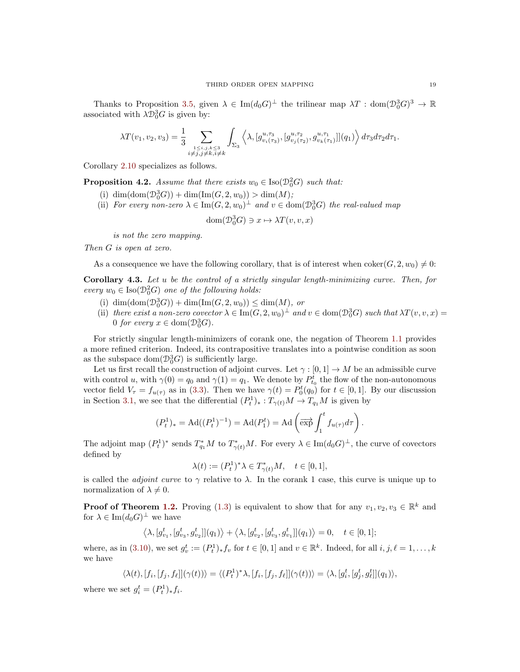Thanks to Proposition [3.5,](#page-15-0) given  $\lambda \in \text{Im}(d_0 G)^{\perp}$  the trilinear map  $\lambda T : \text{dom}(\mathcal{D}_0^3 G)^3 \to \mathbb{R}$ associated with  $\lambda \mathcal{D}_0^3 G$  is given by:

$$
\lambda T(v_1, v_2, v_3) = \frac{1}{3} \sum_{\substack{1 \le i, j, k \le 3 \\ i \ne j, j \ne k, i \ne k}} \int_{\Sigma_3} \left\langle \lambda, [g_{v_i(\tau_3)}^{u, \tau_3}, [g_{v_j(\tau_2)}^{u, \tau_2}, g_{v_k(\tau_1)}^{u, \tau_1}]](q_1) \right\rangle d\tau_3 d\tau_2 d\tau_1.
$$

Corollary [2.10](#page-10-2) specializes as follows.

**Proposition 4.2.** Assume that there exists  $w_0 \in \text{Iso}(\mathcal{D}_0^2 G)$  such that:

- (i)  $\dim(\mathrm{dom}(\mathcal{D}_0^3 G)) + \dim(\mathrm{Im}(G, 2, w_0)) > \dim(M);$
- (ii) For every non-zero  $\lambda \in \text{Im}(G, 2, w_0)^{\perp}$  and  $v \in \text{dom}(\mathcal{D}_0^3 G)$  the real-valued map

$$
\text{dom}(\mathcal{D}_0^3 G) \ni x \mapsto \lambda T(v, v, x)
$$

is not the zero mapping.

Then G is open at zero.

As a consequence we have the following corollary, that is of interest when  $coker(G, 2, w_0) \neq 0$ :

Corollary 4.3. Let u be the control of a strictly singular length-minimizing curve. Then, for every  $w_0 \in \text{Iso}(\mathcal{D}_0^2 G)$  one of the following holds:

- (i)  $\dim(\text{dom}(\mathcal{D}_0^3 G)) + \dim(\text{Im}(G, 2, w_0)) \leq \dim(M)$ , or
- (ii) there exist a non-zero covector  $\lambda \in \text{Im}(G, 2, w_0)^{\perp}$  and  $v \in \text{dom}(\mathfrak{D}_0^3 G)$  such that  $\lambda T(v, v, x) =$ 0 for every  $x \in \text{dom}(\mathcal{D}_0^3 G)$ .

For strictly singular length-minimizers of corank one, the negation of Theorem [1.1](#page-1-0) provides a more refined criterion. Indeed, its contrapositive translates into a pointwise condition as soon as the subspace  $dom(\mathcal{D}_0^3G)$  is sufficiently large.

Let us first recall the construction of adjoint curves. Let  $\gamma : [0,1] \to M$  be an admissible curve with control u, with  $\gamma(0) = q_0$  and  $\gamma(1) = q_1$ . We denote by  $P_{t_0}^t$  the flow of the non-autonomous vector field  $V_{\tau} = f_{u(\tau)}$  as in [\(3.3\)](#page-11-3). Then we have  $\gamma(t) = P_0^t(q_0)$  for  $t \in [0, 1]$ . By our discussion in Section [3.1,](#page-11-4) we see that the differential  $(P_t^1)_*: T_{\gamma(t)}M \to T_{q_1}M$  is given by

$$
(P_t^1)_* = \mathrm{Ad}((P_t^1)^{-1}) = \mathrm{Ad}(P_1^t) = \mathrm{Ad}\left(\overrightarrow{\exp} \int_1^t f_{u(\tau)} d\tau\right).
$$

The adjoint map  $(P_t^1)^*$  sends  $T_{q_1}^*M$  to  $T_{\gamma(t)}^*M$ . For every  $\lambda \in \text{Im}(d_0G)^{\perp}$ , the curve of covectors defined by

$$
\lambda(t) := (P_t^1)^* \lambda \in T^*_{\gamma(t)}M, \quad t \in [0, 1],
$$

is called the *adjoint curve* to  $\gamma$  relative to  $\lambda$ . In the corank 1 case, this curve is unique up to normalization of  $\lambda \neq 0$ .

**Proof of Theorem [1.2.](#page-2-1)** Proving [\(1.3\)](#page-2-0) is equivalent to show that for any  $v_1, v_2, v_3 \in \mathbb{R}^k$  and for  $\lambda \in \mathrm{Im}(d_0G)^{\perp}$  we have

$$
\left<\lambda,[g^t_{v_1},[g^t_{v_3},g^t_{v_2}]](q_1)\right> + \left<\lambda,[g^t_{v_2},[g^t_{v_3},g^t_{v_1}]](q_1)\right> = 0, \quad t \in [0,1];
$$

where, as in [\(3.10\)](#page-13-3), we set  $g_v^t := (P_t^1)_* f_v$  for  $t \in [0,1]$  and  $v \in \mathbb{R}^k$ . Indeed, for all  $i, j, \ell = 1, \ldots, k$ we have

$$
\langle \lambda(t), [f_i, [f_j, f_\ell]](\gamma(t)) \rangle = \langle (P_t^1)^* \lambda, [f_i, [f_j, f_\ell]](\gamma(t)) \rangle = \langle \lambda, [g_i^t, [g_j^t, g_\ell^t]](q_1) \rangle,
$$

where we set  $g_i^t = (P_t^1)_* f_i$ .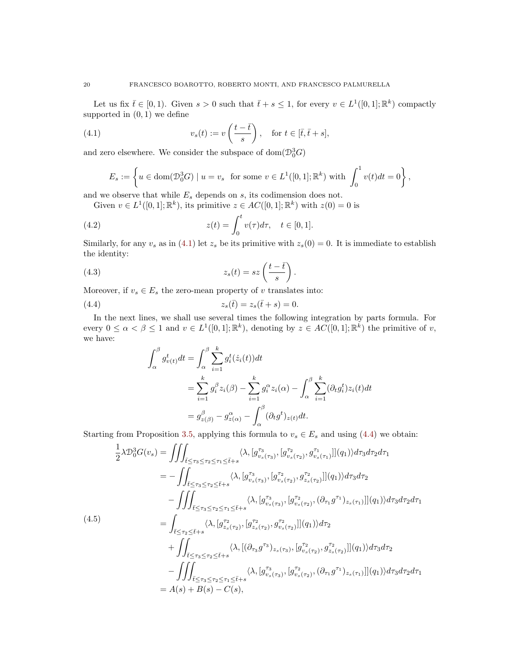Let us fix  $\bar{t} \in [0,1)$ . Given  $s > 0$  such that  $\bar{t} + s \leq 1$ , for every  $v \in L^1([0,1];\mathbb{R}^k)$  compactly supported in  $(0, 1)$  we define

<span id="page-19-0"></span>(4.1) 
$$
v_s(t) := v\left(\frac{t-\bar{t}}{s}\right), \quad \text{for } t \in [\bar{t}, \bar{t}+s],
$$

and zero elsewhere. We consider the subspace of  $\text{dom}(\mathcal{D}_0^3 G)$ 

$$
E_s := \left\{ u \in \text{dom}(\mathcal{D}_0^3 G) \mid u = v_s \text{ for some } v \in L^1([0,1];\mathbb{R}^k) \text{ with } \int_0^1 v(t)dt = 0 \right\},\
$$

and we observe that while  $E_s$  depends on  $s$ , its codimension does not.

Given  $v \in L^1([0,1];\mathbb{R}^k)$ , its primitive  $z \in AC([0,1];\mathbb{R}^k)$  with  $z(0) = 0$  is

<span id="page-19-4"></span>(4.2) 
$$
z(t) = \int_0^t v(\tau) d\tau, \quad t \in [0, 1].
$$

Similarly, for any  $v_s$  as in [\(4.1\)](#page-19-0) let  $z_s$  be its primitive with  $z_s(0) = 0$ . It is immediate to establish the identity:

<span id="page-19-3"></span>(4.3) 
$$
z_s(t) = sz\left(\frac{t-\bar{t}}{s}\right).
$$

Moreover, if  $v_s \in E_s$  the zero-mean property of v translates into:

<span id="page-19-1"></span>(4.4) 
$$
z_s(\bar{t}) = z_s(\bar{t} + s) = 0.
$$

In the next lines, we shall use several times the following integration by parts formula. For every  $0 \leq \alpha < \beta \leq 1$  and  $v \in L^1([0,1];\mathbb{R}^k)$ , denoting by  $z \in AC([0,1];\mathbb{R}^k)$  the primitive of v, we have:

$$
\int_{\alpha}^{\beta} g_{v(t)}^t dt = \int_{\alpha}^{\beta} \sum_{i=1}^k g_i^t(\dot{z}_i(t)) dt
$$
  
= 
$$
\sum_{i=1}^k g_i^{\beta} z_i(\beta) - \sum_{i=1}^k g_i^{\alpha} z_i(\alpha) - \int_{\alpha}^{\beta} \sum_{i=1}^k (\partial_t g_i^t) z_i(t) dt
$$
  
= 
$$
g_{z(\beta)}^{\beta} - g_{z(\alpha)}^{\alpha} - \int_{\alpha}^{\beta} (\partial_t g_t^t) z_i(t) dt.
$$

Starting from Proposition [3.5,](#page-15-0) applying this formula to  $v_s \in E_s$  and using [\(4.4\)](#page-19-1) we obtain:

<span id="page-19-2"></span>
$$
\frac{1}{2}\lambda \mathcal{D}_0^3 G(v_s) = \iiint_{\bar{t} \leq \tau_3 \leq \tau_2 \leq \tau_1 \leq \bar{t} + s} \langle \lambda, [g_{v_s(\tau_3)}^{\tau_3}, [g_{v_s(\tau_2)}^{\tau_2}, g_{v_s(\tau_1)}^{\tau_1}]](q_1) \rangle d\tau_3 d\tau_2 d\tau_1
$$
\n
$$
= - \iint_{\bar{t} \leq \tau_3 \leq \tau_2 \leq \bar{t} + s} \langle \lambda, [g_{v_s(\tau_3)}^{\tau_3}, [g_{v_s(\tau_2)}^{\tau_2}, g_{z_s(\tau_2)}^{\tau_2}]](q_1) \rangle d\tau_3 d\tau_2
$$
\n
$$
- \iiint_{\bar{t} \leq \tau_3 \leq \tau_2 \leq \tau_1 \leq \bar{t} + s} \langle \lambda, [g_{v_s(\tau_3)}^{\tau_3}, [g_{v_s(\tau_2)}^{\tau_2}, (\partial_{\tau_1} g^{\tau_1})_{z_s(\tau_1)}]](q_1) \rangle d\tau_3 d\tau_2 d\tau_1
$$
\n
$$
= \int_{\bar{t} \leq \tau_2 \leq \bar{t} + s} \langle \lambda, [g_{z_s(\tau_2)}^{\tau_2}, [g_{z_s(\tau_2)}^{\tau_2}, g_{v_s(\tau_2)}^{\tau_2}]](q_1) \rangle d\tau_2
$$
\n
$$
+ \iint_{\bar{t} \leq \tau_3 \leq \tau_2 \leq \bar{t} + s} \langle \lambda, [(\partial_{\tau_3} g^{\tau_3})_{z_s(\tau_3)}, [g_{v_s(\tau_2)}^{\tau_2}, g_{z_s(\tau_2)}]](q_1) \rangle d\tau_3 d\tau_2
$$
\n
$$
- \iiint_{\bar{t} \leq \tau_3 \leq \tau_2 \leq \tau_1 \leq \bar{t} + s} \langle \lambda, [g_{v_s(\tau_3)}^{\tau_3}, [g_{v_s(\tau_2)}^{\tau_2}, (\partial_{\tau_1} g^{\tau_1})_{z_s(\tau_1)}]](q_1) \rangle d\tau_3 d\tau_2 d\tau_1
$$
\n
$$
= A(s) + B(s
$$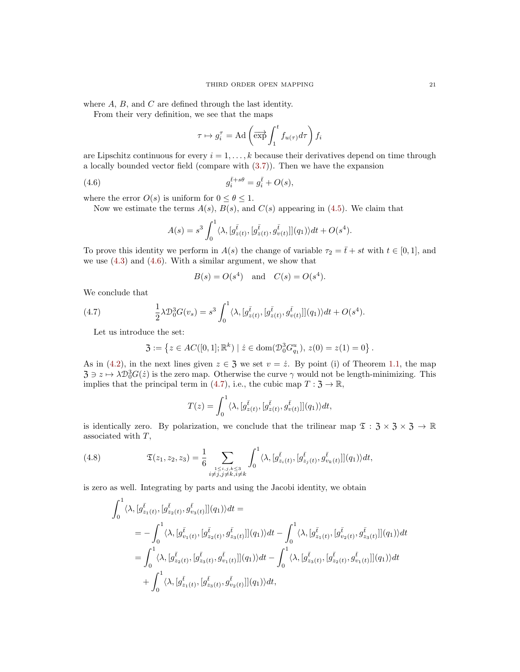where  $A$ ,  $B$ , and  $C$  are defined through the last identity.

From their very definition, we see that the maps

$$
\tau \mapsto g_i^{\tau} = \text{Ad}\left(\overrightarrow{\exp} \int_1^t f_{u(\tau)} d\tau\right) f_i
$$

are Lipschitz continuous for every  $i = 1, \ldots, k$  because their derivatives depend on time through a locally bounded vector field (compare with [\(3.7\)](#page-12-2)). Then we have the expansion

<span id="page-20-0"></span>(4.6) 
$$
g_i^{\bar{t}+s\theta} = g_i^{\bar{t}} + O(s),
$$

where the error  $O(s)$  is uniform for  $0 \leq \theta \leq 1$ .

Now we estimate the terms  $A(s)$ ,  $B(s)$ , and  $C(s)$  appearing in [\(4.5\)](#page-19-2). We claim that

$$
A(s) = s^3 \int_0^1 \langle \lambda, [g_{z(t)}^{\bar{t}}, [g_{z(t)}^{\bar{t}}, g_{v(t)}^{\bar{t}}]](q_1) \rangle dt + O(s^4).
$$

To prove this identity we perform in  $A(s)$  the change of variable  $\tau_2 = \bar{t} + st$  with  $t \in [0,1]$ , and we use  $(4.3)$  and  $(4.6)$ . With a similar argument, we show that

$$
B(s) = O(s^4)
$$
 and  $C(s) = O(s^4)$ .

We conclude that

<span id="page-20-1"></span>(4.7) 
$$
\frac{1}{2}\lambda \mathcal{D}_0^3 G(v_s) = s^3 \int_0^1 \langle \lambda, [g_{z(t)}^{\bar{t}}, [g_{z(t)}^{\bar{t}}, g_{v(t)}^{\bar{t}}]](q_1) \rangle dt + O(s^4).
$$

Let us introduce the set:

$$
\mathfrak{Z} := \left\{ z \in AC([0,1];\mathbb{R}^k) \mid \dot{z} \in \text{dom}(\mathcal{D}_0^3 G_{q_1}^u), \, z(0) = z(1) = 0 \right\}.
$$

As in [\(4.2\)](#page-19-4), in the next lines given  $z \in \mathfrak{Z}$  we set  $v = \dot{z}$ . By point (i) of Theorem [1.1,](#page-1-0) the map  $\mathfrak{Z} \ni z \mapsto \lambda \mathcal{D}_0^3 G(z)$  is the zero map. Otherwise the curve  $\gamma$  would not be length-minimizing. This implies that the principal term in [\(4.7\)](#page-20-1), i.e., the cubic map  $T : \mathfrak{Z} \to \mathbb{R}$ ,

$$
T(z) = \int_0^1 \langle \lambda, [g_{z(t)}^{\overline{t}}, [g_{z(t)}^{\overline{t}}, g_{v(t)}^{\overline{t}}]](q_1) \rangle dt,
$$

is identically zero. By polarization, we conclude that the trilinear map  $\mathfrak{T}: \mathfrak{Z} \times \mathfrak{Z} \times \mathfrak{Z} \to \mathbb{R}$ associated with T,

<span id="page-20-2"></span>(4.8) 
$$
\mathfrak{T}(z_1, z_2, z_3) = \frac{1}{6} \sum_{\substack{1 \leq i, j, k \leq 3 \\ i \neq j, j \neq k, i \neq k}} \int_0^1 \langle \lambda, [g_{z_i(t)}^{\bar{t}}, [g_{z_j(t)}^{\bar{t}}, g_{v_k(t)}^{\bar{t}}]](q_1) \rangle dt,
$$

is zero as well. Integrating by parts and using the Jacobi identity, we obtain

$$
\int_{0}^{1} \langle \lambda, [g_{z_{1}(t)}^{\bar{t}}, [g_{z_{2}(t)}^{\bar{t}}, g_{v_{3}(t)}^{\bar{t}}]](q_{1}) \rangle dt =
$$
\n
$$
= -\int_{0}^{1} \langle \lambda, [g_{v_{1}(t)}^{\bar{t}}, [g_{z_{2}(t)}^{\bar{t}}, g_{z_{3}(t)}^{\bar{t}}]](q_{1}) \rangle dt - \int_{0}^{1} \langle \lambda, [g_{z_{1}(t)}^{\bar{t}}, [g_{v_{2}(t)}^{\bar{t}}, g_{z_{3}(t)}^{\bar{t}}]](q_{1}) \rangle dt
$$
\n
$$
= \int_{0}^{1} \langle \lambda, [g_{z_{2}(t)}^{\bar{t}}, [g_{z_{3}(t)}^{\bar{t}}, g_{v_{1}(t)}^{\bar{t}}]](q_{1}) \rangle dt - \int_{0}^{1} \langle \lambda, [g_{z_{3}(t)}^{\bar{t}}, [g_{z_{2}(t)}^{\bar{t}}, g_{v_{1}(t)}^{\bar{t}}]](q_{1}) \rangle dt
$$
\n
$$
+ \int_{0}^{1} \langle \lambda, [g_{z_{1}(t)}^{\bar{t}}, [g_{z_{3}(t)}^{\bar{t}}, g_{v_{2}(t)}^{\bar{t}}]](q_{1}) \rangle dt,
$$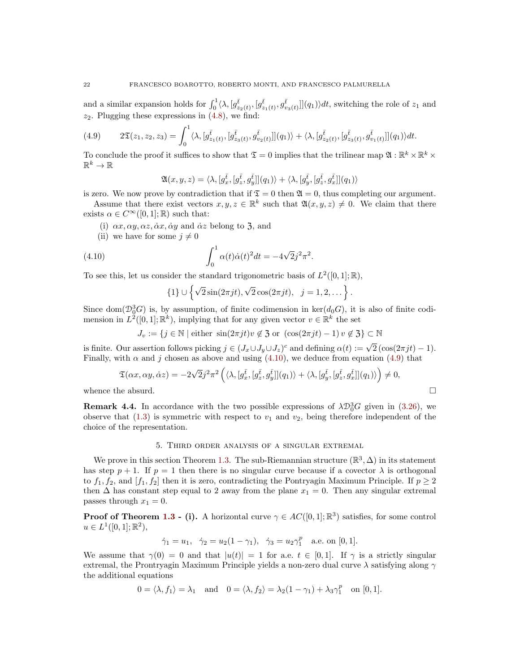and a similar expansion holds for  $\int_0^1 \langle \lambda, [\bar{g}_{z_1(t)}^{\bar{t}}, g_{v_3(t)}^{\bar{t}}]](q_1) \rangle dt$ , switching the role of  $z_1$  and  $z_2$ . Plugging these expressions in  $(4.8)$ , we find:

<span id="page-21-2"></span>
$$
(4.9) \t2\mathfrak{T}(z_1, z_2, z_3) = \int_0^1 \langle \lambda, [g_{z_1(t)}^{\bar{t}}, [g_{z_3(t)}^{\bar{t}}, g_{v_2(t)}^{\bar{t}}]](q_1) \rangle + \langle \lambda, [g_{z_2(t)}^{\bar{t}}, [g_{z_3(t)}^{\bar{t}}, g_{v_1(t)}^{\bar{t}}]](q_1) \rangle dt.
$$

To conclude the proof it suffices to show that  $\mathfrak{T} = 0$  implies that the trilinear map  $\mathfrak{A}: \mathbb{R}^k \times \mathbb{R}^k \times$  $\mathbb{R}^k \to \mathbb{R}$ 

$$
\mathfrak{A}(x,y,z) = \langle \lambda, [g_x^{\bar{t}}, [g_z^{\bar{t}}, g_y^{\bar{t}}]](q_1) \rangle + \langle \lambda, [g_y^{\bar{t}}, [g_z^{\bar{t}}, g_x^{\bar{t}}]](q_1) \rangle
$$

is zero. We now prove by contradiction that if  $\mathfrak{T} = 0$  then  $\mathfrak{A} = 0$ , thus completing our argument. Assume that there exist vectors  $x, y, z \in \mathbb{R}^k$  such that  $\mathfrak{A}(x, y, z) \neq 0$ . We claim that there

exists  $\alpha \in C^{\infty}([0,1];\mathbb{R})$  such that:

- (i)  $\alpha x, \alpha y, \alpha z, \dot{\alpha} x, \dot{\alpha} y$  and  $\dot{\alpha} z$  belong to 3, and
- (ii) we have for some  $j \neq 0$

<span id="page-21-1"></span>(4.10) 
$$
\int_0^1 \alpha(t)\dot{\alpha}(t)^2 dt = -4\sqrt{2}j^2\pi^2.
$$

To see this, let us consider the standard trigonometric basis of  $L^2([0,1];\mathbb{R})$ ,

$$
\{1\} \cup \left\{\sqrt{2}\sin(2\pi jt), \sqrt{2}\cos(2\pi jt), \ j = 1, 2, \dots\right\}.
$$

Since  $\text{dom}(\mathcal{D}_0^3 G)$  is, by assumption, of finite codimension in  $\text{ker}(d_0 G)$ , it is also of finite codimension in  $L^2([0,1];\mathbb{R}^k)$ , implying that for any given vector  $v \in \mathbb{R}^k$  the set

$$
J_v := \{ j \in \mathbb{N} \mid \text{either } \sin(2\pi jt)v \notin \mathfrak{Z} \text{ or } (\cos(2\pi jt) - 1)v \notin \mathfrak{Z} \} \subset \mathbb{N}
$$

is finite. Our assertion follows picking  $j \in (J_x \cup J_y \cup J_z)^c$  and defining  $\alpha(t) := \sqrt{2} (\cos(2\pi j t) - 1)$ . Finally, with  $\alpha$  and j chosen as above and using [\(4.10\)](#page-21-1), we deduce from equation [\(4.9\)](#page-21-2) that

$$
\mathfrak{T}(\alpha x, \alpha y, \dot{\alpha} z) = -2\sqrt{2}j^2\pi^2\left(\langle \lambda, [g_x^{\bar{t}}, [g_z^{\bar{t}}, g_y^{\bar{t}}]](q_1)\rangle + \langle \lambda, [g_y^{\bar{t}}, [g_z^{\bar{t}}, g_x^{\bar{t}}]](q_1)\rangle\right) \neq 0,
$$

whence the absurd.  $\hfill \square$ 

**Remark 4.4.** In accordance with the two possible expressions of  $\lambda \mathcal{D}_0^3 G$  given in [\(3.26\)](#page-17-3), we observe that [\(1.3\)](#page-2-0) is symmetric with respect to  $v_1$  and  $v_2$ , being therefore independent of the choice of the representation.

### 5. Third order analysis of a singular extremal

<span id="page-21-0"></span>We prove in this section Theorem [1.3.](#page-2-2) The sub-Riemannian structure  $(\mathbb{R}^3, \Delta)$  in its statement has step  $p + 1$ . If  $p = 1$  then there is no singular curve because if a covector  $\lambda$  is orthogonal to  $f_1, f_2$ , and  $[f_1, f_2]$  then it is zero, contradicting the Pontryagin Maximum Principle. If  $p \geq 2$ then  $\Delta$  has constant step equal to 2 away from the plane  $x_1 = 0$ . Then any singular extremal passes through  $x_1 = 0$ .

**Proof of Theorem [1.3](#page-2-2) - (i).** A horizontal curve  $\gamma \in AC([0,1];\mathbb{R}^3)$  satisfies, for some control  $u \in L^1([0,1];\mathbb{R}^2),$ 

$$
\dot{\gamma}_1 = u_1, \quad \dot{\gamma}_2 = u_2(1 - \gamma_1), \quad \dot{\gamma}_3 = u_2 \gamma_1^p
$$
 a.e. on [0, 1].

We assume that  $\gamma(0) = 0$  and that  $|u(t)| = 1$  for a.e.  $t \in [0,1]$ . If  $\gamma$  is a strictly singular extremal, the Prontryagin Maximum Principle yields a non-zero dual curve  $\lambda$  satisfying along  $\gamma$ the additional equations

$$
0 = \langle \lambda, f_1 \rangle = \lambda_1 \quad \text{and} \quad 0 = \langle \lambda, f_2 \rangle = \lambda_2 (1 - \gamma_1) + \lambda_3 \gamma_1^p \quad \text{on } [0, 1].
$$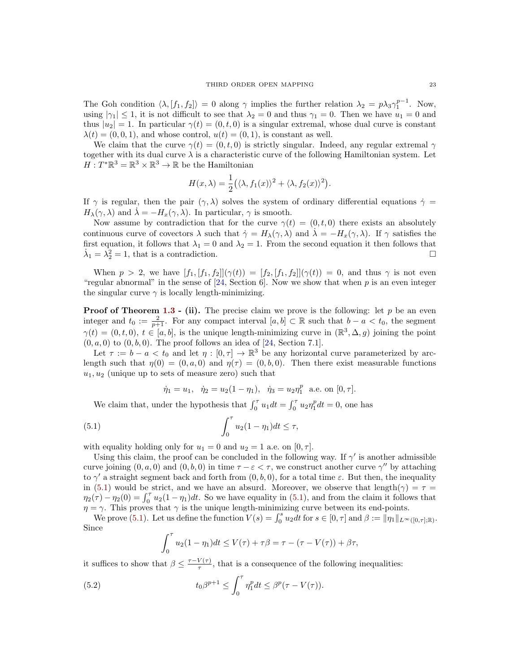The Goh condition  $\langle \lambda, [f_1, f_2] \rangle = 0$  along  $\gamma$  implies the further relation  $\lambda_2 = p\lambda_3\gamma_1^{p-1}$ . Now, using  $|\gamma_1| \leq 1$ , it is not difficult to see that  $\lambda_2 = 0$  and thus  $\gamma_1 = 0$ . Then we have  $u_1 = 0$  and thus  $|u_2| = 1$ . In particular  $\gamma(t) = (0, t, 0)$  is a singular extremal, whose dual curve is constant  $\lambda(t) = (0, 0, 1)$ , and whose control,  $u(t) = (0, 1)$ , is constant as well.

We claim that the curve  $\gamma(t) = (0, t, 0)$  is strictly singular. Indeed, any regular extremal  $\gamma$ together with its dual curve  $\lambda$  is a characteristic curve of the following Hamiltonian system. Let  $H: T^*\mathbb{R}^3 = \mathbb{R}^3 \times \mathbb{R}^3 \to \mathbb{R}$  be the Hamiltonian

$$
H(x,\lambda) = \frac{1}{2} (\langle \lambda, f_1(x) \rangle^2 + \langle \lambda, f_2(x) \rangle^2).
$$

If  $\gamma$  is regular, then the pair  $(\gamma, \lambda)$  solves the system of ordinary differential equations  $\dot{\gamma} =$  $H_{\lambda}(\gamma, \lambda)$  and  $\lambda = -H_x(\gamma, \lambda)$ . In particular,  $\gamma$  is smooth.

Now assume by contradiction that for the curve  $\gamma(t) = (0, t, 0)$  there exists an absolutely continuous curve of covectors  $\lambda$  such that  $\dot{\gamma} = H_{\lambda}(\gamma, \lambda)$  and  $\lambda = -H_{x}(\gamma, \lambda)$ . If  $\gamma$  satisfies the first equation, it follows that  $\lambda_1 = 0$  and  $\lambda_2 = 1$ . From the second equation it then follows that  $\lambda_1 = \lambda_2^2 = 1$ , that is a contradiction.

When  $p > 2$ , we have  $[f_1, [f_1, f_2]](\gamma(t)) = [f_2, [f_1, f_2]](\gamma(t)) = 0$ , and thus  $\gamma$  is not even "regular abnormal" in the sense of [\[24,](#page-25-21) Section 6]. Now we show that when  $p$  is an even integer the singular curve  $\gamma$  is locally length-minimizing.

**Proof of Theorem [1.3](#page-2-2) - (ii).** The precise claim we prove is the following: let  $p$  be an even integer and  $t_0 := \frac{2}{p+1}$ . For any compact interval  $[a, b] \subset \mathbb{R}$  such that  $b - a < t_0$ , the segment  $\gamma(t) = (0, t, 0), t \in [a, b],$  is the unique length-minimizing curve in  $(\mathbb{R}^3, \Delta, g)$  joining the point  $(0, a, 0)$  to  $(0, b, 0)$ . The proof follows an idea of [\[24,](#page-25-21) Section 7.1].

Let  $\tau := b - a < t_0$  and let  $\eta : [0, \tau] \to \mathbb{R}^3$  be any horizontal curve parameterized by arclength such that  $\eta(0) = (0, a, 0)$  and  $\eta(\tau) = (0, b, 0)$ . Then there exist measurable functions  $u_1, u_2$  (unique up to sets of measure zero) such that

$$
\dot{\eta}_1 = u_1, \quad \dot{\eta}_2 = u_2(1 - \eta_1), \quad \dot{\eta}_3 = u_2 \eta_1^p
$$
 a.e. on  $[0, \tau]$ .

We claim that, under the hypothesis that  $\int_0^{\tau} u_1 dt = \int_0^{\tau} u_2 \eta_1^p dt = 0$ , one has

<span id="page-22-0"></span>(5.1) 
$$
\int_0^\tau u_2(1-\eta_1)dt \leq \tau,
$$

with equality holding only for  $u_1 = 0$  and  $u_2 = 1$  a.e. on  $[0, \tau]$ .

Using this claim, the proof can be concluded in the following way. If  $\gamma'$  is another admissible curve joining  $(0, a, 0)$  and  $(0, b, 0)$  in time  $\tau - \varepsilon < \tau$ , we construct another curve  $\gamma''$  by attaching to  $\gamma'$  a straight segment back and forth from  $(0, b, 0)$ , for a total time  $\varepsilon$ . But then, the inequality in [\(5.1\)](#page-22-0) would be strict, and we have an absurd. Moreover, we observe that length( $\gamma$ ) =  $\tau$  =  $\eta_2(\tau) - \eta_2(0) = \int_0^{\tau} u_2(1-\eta_1)dt$ . So we have equality in [\(5.1\)](#page-22-0), and from the claim it follows that  $\eta = \gamma$ . This proves that  $\gamma$  is the unique length-minimizing curve between its end-points.

We prove [\(5.1\)](#page-22-0). Let us define the function  $V(s) = \int_0^s u_2 dt$  for  $s \in [0, \tau]$  and  $\beta := ||\eta_1||_{L^{\infty}([0, \tau]; \mathbb{R})}$ . Since

$$
\int_0^{\tau} u_2(1-\eta_1)dt \le V(\tau) + \tau\beta = \tau - (\tau - V(\tau)) + \beta\tau,
$$

it suffices to show that  $\beta \leq \frac{\tau - V(\tau)}{\tau}$  $\frac{\nu(\tau)}{\tau}$ , that is a consequence of the following inequalities:

<span id="page-22-1"></span>(5.2) 
$$
t_0\beta^{p+1} \leq \int_0^\tau \eta_1^p dt \leq \beta^p(\tau - V(\tau)).
$$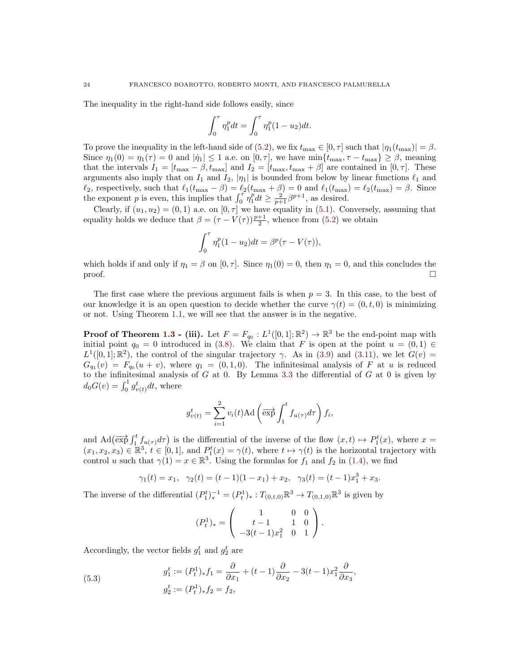The inequality in the right-hand side follows easily, since

$$
\int_0^{\tau} \eta_1^p dt = \int_0^{\tau} \eta_1^p (1 - u_2) dt.
$$

To prove the inequality in the left-hand side of [\(5.2\)](#page-22-1), we fix  $t_{\text{max}} \in [0, \tau]$  such that  $|\eta_1(t_{\text{max}})| = \beta$ . Since  $\eta_1(0) = \eta_1(\tau) = 0$  and  $|\dot{\eta}_1| \le 1$  a.e. on  $[0, \tau]$ , we have  $\min\{t_{\max}, \tau - t_{\max}\} \ge \beta$ , meaning that the intervals  $I_1 = [t_{\text{max}} - \beta, t_{\text{max}}]$  and  $I_2 = [t_{\text{max}}, t_{\text{max}} + \beta]$  are contained in  $[0, \tau]$ . These arguments also imply that on  $I_1$  and  $I_2$ ,  $|\eta_1|$  is bounded from below by linear functions  $\ell_1$  and  $\ell_2$ , respectively, such that  $\ell_1(t_{\text{max}} - \beta) = \ell_2(t_{\text{max}} + \beta) = 0$  and  $\ell_1(t_{\text{max}}) = \ell_2(t_{\text{max}}) = \beta$ . Since the exponent p is even, this implies that  $\int_0^{\tau} \eta_1^p dt \ge \frac{2}{p+1} \beta^{p+1}$ , as desired.

Clearly, if  $(u_1, u_2) = (0, 1)$  a.e. on  $[0, \tau]$  we have equality in [\(5.1\)](#page-22-0). Conversely, assuming that equality holds we deduce that  $\beta = (\tau - V(\tau))\frac{p+1}{2}$ , whence from [\(5.2\)](#page-22-1) we obtain

$$
\int_0^\tau \eta_1^p(1-u_2)dt = \beta^p(\tau - V(\tau)),
$$

which holds if and only if  $\eta_1 = \beta$  on  $[0, \tau]$ . Since  $\eta_1(0) = 0$ , then  $\eta_1 = 0$ , and this concludes the  $\Box$ 

The first case where the previous argument fails is when  $p = 3$ . In this case, to the best of our knowledge it is an open question to decide whether the curve  $\gamma(t) = (0, t, 0)$  is minimizing or not. Using Theorem [1.1,](#page-1-0) we will see that the answer is in the negative.

**Proof of Theorem [1.3](#page-2-2) - (iii).** Let  $F = F_{q_0} : L^1([0,1];\mathbb{R}^2) \to \mathbb{R}^3$  be the end-point map with initial point  $q_0 = 0$  introduced in [\(3.8\)](#page-13-4). We claim that F is open at the point  $u = (0, 1) \in$  $L^1([0,1];\mathbb{R}^2)$ , the control of the singular trajectory  $\gamma$ . As in [\(3.9\)](#page-13-2) and [\(3.11\)](#page-13-0), we let  $G(v)$  $G_{q_1}(v) = F_{q_0}(u + v)$ , where  $q_1 = (0, 1, 0)$ . The infinitesimal analysis of F at u is reduced to the infinitesimal analysis of  $G$  at 0. By Lemma [3.3](#page-14-6) the differential of  $G$  at 0 is given by  $d_0G(v) = \int_0^1 g_{v(t)}^t dt$ , where

$$
g_{v(t)}^t = \sum_{i=1}^2 v_i(t) \text{Ad}\left(\overrightarrow{\exp} \int_1^t f_{u(\tau)} d\tau\right) f_i,
$$

and  $\text{Ad}(\overrightarrow{\exp} \int_1^t f_{u(\tau)} d\tau)$  is the differential of the inverse of the flow  $(x, t) \mapsto P_1^t(x)$ , where  $x =$  $(x_1, x_2, x_3) \in \mathbb{R}^3$ ,  $t \in [0, 1]$ , and  $P_1^t(x) = \gamma(t)$ , where  $t \mapsto \gamma(t)$  is the horizontal trajectory with control u such that  $\gamma(1) = x \in \mathbb{R}^3$ . Using the formulas for  $f_1$  and  $f_2$  in [\(1.4\)](#page-2-3), we find

$$
\gamma_1(t) = x_1, \ \ \gamma_2(t) = (t-1)(1-x_1) + x_2, \ \ \gamma_3(t) = (t-1)x_1^3 + x_3.
$$

The inverse of the differential  $(P_1^t)_*^{-1} = (P_t^1)_* : T_{(0,t,0)} \mathbb{R}^3 \to T_{(0,1,0)} \mathbb{R}^3$  is given by

$$
(P_t^1)_* = \left(\begin{array}{rrr} 1 & 0 & 0 \\ t-1 & 1 & 0 \\ -3(t-1)x_1^2 & 0 & 1 \end{array}\right).
$$

Accordingly, the vector fields  $g_1^t$  and  $g_2^t$  are

<span id="page-23-0"></span>(5.3) 
$$
g_1^t := (P_t^1)_* f_1 = \frac{\partial}{\partial x_1} + (t - 1) \frac{\partial}{\partial x_2} - 3(t - 1) x_1^2 \frac{\partial}{\partial x_3},
$$

$$
g_2^t := (P_t^1)_* f_2 = f_2,
$$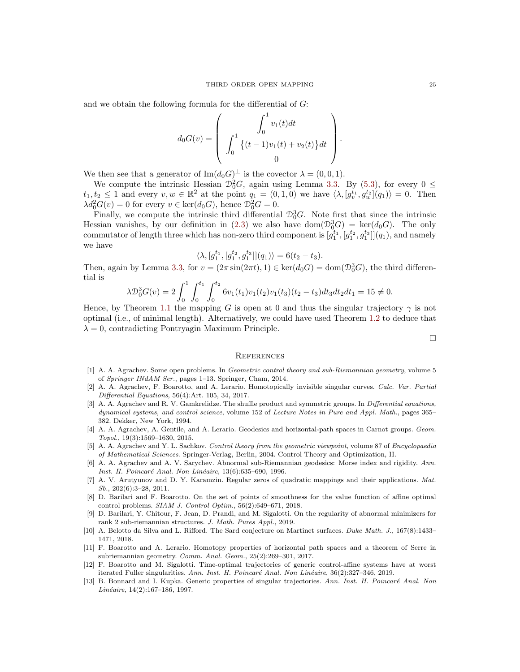and we obtain the following formula for the differential of G:

$$
d_0G(v) = \left( \begin{array}{c} \int_0^1 v_1(t)dt \\ \int_0^1 \{(t-1)v_1(t) + v_2(t)\}dt \\ 0 \end{array} \right).
$$

We then see that a generator of  $\text{Im}(d_0G)^{\perp}$  is the covector  $\lambda = (0,0,1)$ .

We compute the intrinsic Hessian  $\mathcal{D}_0^2 G$ , again using Lemma [3.3.](#page-14-6) By [\(5.3\)](#page-23-0), for every  $0 \leq$  $t_1, t_2 \leq 1$  and every  $v, w \in \mathbb{R}^2$  at the point  $q_1 = (0, 1, 0)$  we have  $\langle \lambda, [g_v^{t_1}, g_w^{t_2}](q_1) \rangle = 0$ . Then  $\lambda d_0^2 G(v) = 0$  for every  $v \in \text{ker}(d_0 G)$ , hence  $\mathcal{D}_0^2 G = 0$ .

Finally, we compute the intrinsic third differential  $\mathcal{D}_0^3 G$ . Note first that since the intrinsic Hessian vanishes, by our definition in [\(2.3\)](#page-4-2) we also have dom $(\mathcal{D}_0^3 G) = \text{ker}(d_0 G)$ . The only commutator of length three which has non-zero third component is  $[g_1^{t_1}, [g_1^{t_2}, g_1^{t_3}]](q_1)$ , and namely we have

$$
\langle \lambda, [g_1^{t_1}, [g_1^{t_2}, g_1^{t_3}]](q_1) \rangle = 6(t_2 - t_3).
$$

Then, again by Lemma [3.3,](#page-14-6) for  $v = (2\pi \sin(2\pi t), 1) \in \ker(d_0 G) = \text{dom}(\mathcal{D}_0^3 G)$ , the third differential is

$$
\lambda \mathcal{D}_0^3 G(v) = 2 \int_0^1 \int_0^{t_1} \int_0^{t_2} 6v_1(t_1)v_1(t_2)v_1(t_3)(t_2 - t_3)dt_3dt_2dt_1 = 15 \neq 0.
$$

Hence, by Theorem [1.1](#page-1-0) the mapping G is open at 0 and thus the singular trajectory  $\gamma$  is not optimal (i.e., of minimal length). Alternatively, we could have used Theorem [1.2](#page-2-1) to deduce that  $\lambda = 0$ , contradicting Pontryagin Maximum Principle.

 $\Box$ 

### **REFERENCES**

- <span id="page-24-0"></span>[1] A. A. Agrachev. Some open problems. In Geometric control theory and sub-Riemannian geometry, volume 5 of Springer INdAM Ser., pages 1–13. Springer, Cham, 2014.
- <span id="page-24-6"></span>[2] A. A. Agrachev, F. Boarotto, and A. Lerario. Homotopically invisible singular curves. Calc. Var. Partial Differential Equations, 56(4):Art. 105, 34, 2017.
- <span id="page-24-12"></span>[3] A. A. Agrachev and R. V. Gamkrelidze. The shuffle product and symmetric groups. In *Differential equations*, dynamical systems, and control science, volume 152 of Lecture Notes in Pure and Appl. Math., pages 365– 382. Dekker, New York, 1994.
- <span id="page-24-8"></span>[4] A. A. Agrachev, A. Gentile, and A. Lerario. Geodesics and horizontal-path spaces in Carnot groups. Geom. Topol., 19(3):1569–1630, 2015.
- <span id="page-24-10"></span>[5] A. A. Agrachev and Y. L. Sachkov. Control theory from the geometric viewpoint, volume 87 of Encyclopaedia of Mathematical Sciences. Springer-Verlag, Berlin, 2004. Control Theory and Optimization, II.
- <span id="page-24-9"></span>[6] A. A. Agrachev and A. V. Sarychev. Abnormal sub-Riemannian geodesics: Morse index and rigidity. Ann. Inst. H. Poincaré Anal. Non Linéaire, 13(6):635–690, 1996.
- <span id="page-24-11"></span>[7] A. V. Arutyunov and D. Y. Karamzin. Regular zeros of quadratic mappings and their applications. Mat. Sb., 202(6):3–28, 2011.
- <span id="page-24-4"></span>[8] D. Barilari and F. Boarotto. On the set of points of smoothness for the value function of affine optimal control problems. SIAM J. Control Optim., 56(2):649–671, 2018.
- <span id="page-24-2"></span>[9] D. Barilari, Y. Chitour, F. Jean, D. Prandi, and M. Sigalotti. On the regularity of abnormal minimizers for rank 2 sub-riemannian structures. J. Math. Pures Appl., 2019.
- <span id="page-24-1"></span>[10] A. Belotto da Silva and L. Rifford. The Sard conjecture on Martinet surfaces. Duke Math. J., 167(8):1433– 1471, 2018.
- <span id="page-24-7"></span>[11] F. Boarotto and A. Lerario. Homotopy properties of horizontal path spaces and a theorem of Serre in subriemannian geometry. Comm. Anal. Geom., 25(2):269–301, 2017.
- <span id="page-24-5"></span>[12] F. Boarotto and M. Sigalotti. Time-optimal trajectories of generic control-affine systems have at worst iterated Fuller singularities. Ann. Inst. H. Poincaré Anal. Non Linéaire, 36(2):327-346, 2019.
- <span id="page-24-3"></span>[13] B. Bonnard and I. Kupka. Generic properties of singular trajectories. Ann. Inst. H. Poincaré Anal. Non  $Lin\acute{e}aire$ , 14(2):167–186, 1997.